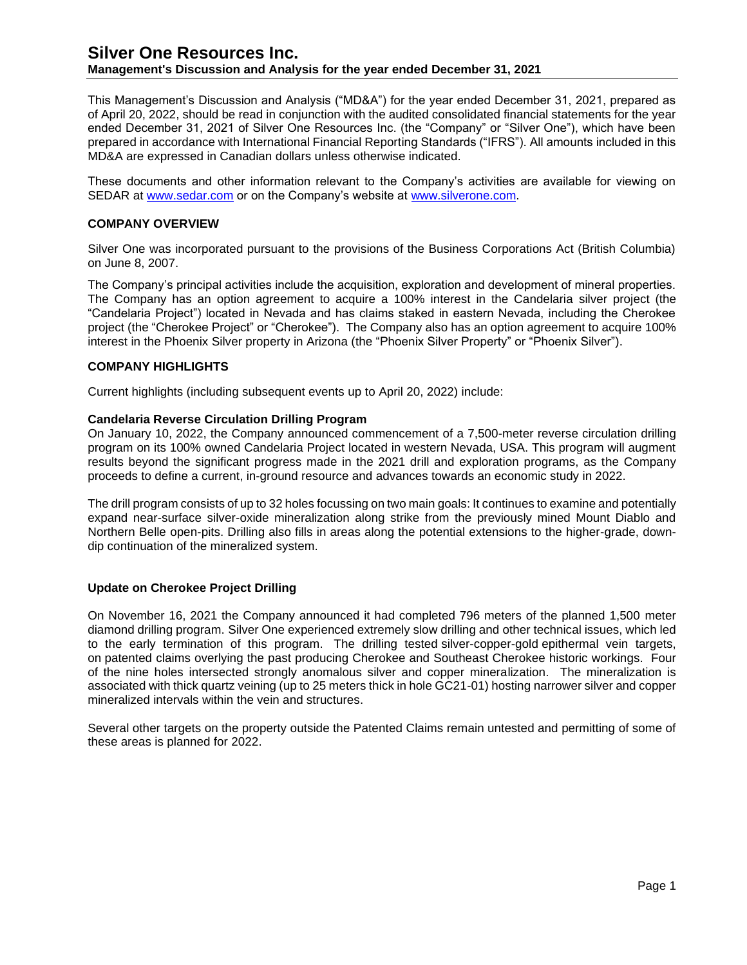### **Management's Discussion and Analysis for the year ended December 31, 2021**

This Management's Discussion and Analysis ("MD&A") for the year ended December 31, 2021, prepared as of April 20, 2022, should be read in conjunction with the audited consolidated financial statements for the year ended December 31, 2021 of Silver One Resources Inc. (the "Company" or "Silver One"), which have been prepared in accordance with International Financial Reporting Standards ("IFRS"). All amounts included in this MD&A are expressed in Canadian dollars unless otherwise indicated.

These documents and other information relevant to the Company's activities are available for viewing on SEDAR at [www.sedar.com](http://www.sedar.com/) or on the Company's website at [www.silverone.com.](http://www.silverone.com/)

#### **COMPANY OVERVIEW**

Silver One was incorporated pursuant to the provisions of the Business Corporations Act (British Columbia) on June 8, 2007.

The Company's principal activities include the acquisition, exploration and development of mineral properties. The Company has an option agreement to acquire a 100% interest in the Candelaria silver project (the "Candelaria Project") located in Nevada and has claims staked in eastern Nevada, including the Cherokee project (the "Cherokee Project" or "Cherokee"). The Company also has an option agreement to acquire 100% interest in the Phoenix Silver property in Arizona (the "Phoenix Silver Property" or "Phoenix Silver").

#### **COMPANY HIGHLIGHTS**

Current highlights (including subsequent events up to April 20, 2022) include:

#### **Candelaria Reverse Circulation Drilling Program**

On January 10, 2022, the Company announced commencement of a 7,500-meter reverse circulation drilling program on its 100% owned Candelaria Project located in western Nevada, USA. This program will augment results beyond the significant progress made in the 2021 drill and exploration programs, as the Company proceeds to define a current, in-ground resource and advances towards an economic study in 2022.

The drill program consists of up to 32 holes focussing on two main goals: It continues to examine and potentially expand near-surface silver-oxide mineralization along strike from the previously mined Mount Diablo and Northern Belle open-pits. Drilling also fills in areas along the potential extensions to the higher-grade, downdip continuation of the mineralized system.

#### **Update on Cherokee Project Drilling**

On November 16, 2021 the Company announced it had completed 796 meters of the planned 1,500 meter diamond drilling program. Silver One experienced extremely slow drilling and other technical issues, which led to the early termination of this program. The drilling tested silver-copper-gold epithermal vein targets, on patented claims overlying the past producing Cherokee and Southeast Cherokee historic workings. Four of the nine holes intersected strongly anomalous silver and copper mineralization. The mineralization is associated with thick quartz veining (up to 25 meters thick in hole GC21-01) hosting narrower silver and copper mineralized intervals within the vein and structures.

Several other targets on the property outside the Patented Claims remain untested and permitting of some of these areas is planned for 2022.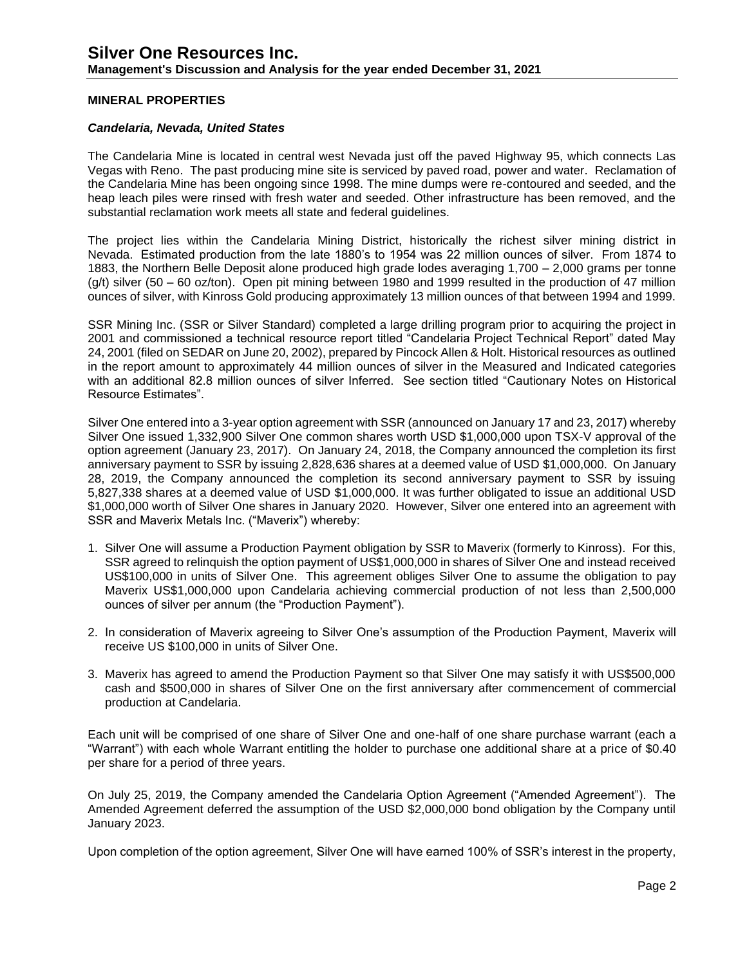### **MINERAL PROPERTIES**

#### *Candelaria, Nevada, United States*

The Candelaria Mine is located in central west Nevada just off the paved Highway 95, which connects Las Vegas with Reno. The past producing mine site is serviced by paved road, power and water. Reclamation of the Candelaria Mine has been ongoing since 1998. The mine dumps were re-contoured and seeded, and the heap leach piles were rinsed with fresh water and seeded. Other infrastructure has been removed, and the substantial reclamation work meets all state and federal guidelines.

The project lies within the Candelaria Mining District, historically the richest silver mining district in Nevada. Estimated production from the late 1880's to 1954 was 22 million ounces of silver. From 1874 to 1883, the Northern Belle Deposit alone produced high grade lodes averaging 1,700 – 2,000 grams per tonne  $(g/t)$  silver (50 – 60 oz/ton). Open pit mining between 1980 and 1999 resulted in the production of 47 million ounces of silver, with Kinross Gold producing approximately 13 million ounces of that between 1994 and 1999.

SSR Mining Inc. (SSR or Silver Standard) completed a large drilling program prior to acquiring the project in 2001 and commissioned a technical resource report titled "Candelaria Project Technical Report" dated May 24, 2001 (filed on SEDAR on June 20, 2002), prepared by Pincock Allen & Holt. Historical resources as outlined in the report amount to approximately 44 million ounces of silver in the Measured and Indicated categories with an additional 82.8 million ounces of silver Inferred. See section titled "Cautionary Notes on Historical Resource Estimates".

Silver One entered into a 3-year option agreement with SSR (announced on January 17 and 23, 2017) whereby Silver One issued 1,332,900 Silver One common shares worth USD \$1,000,000 upon TSX-V approval of the option agreement (January 23, 2017). On January 24, 2018, the Company announced the completion its first anniversary payment to SSR by issuing 2,828,636 shares at a deemed value of USD \$1,000,000. On January 28, 2019, the Company announced the completion its second anniversary payment to SSR by issuing 5,827,338 shares at a deemed value of USD \$1,000,000. It was further obligated to issue an additional USD \$1,000,000 worth of Silver One shares in January 2020. However, Silver one entered into an agreement with SSR and Maverix Metals Inc. ("Maverix") whereby:

- 1. Silver One will assume a Production Payment obligation by SSR to Maverix (formerly to Kinross). For this, SSR agreed to relinquish the option payment of US\$1,000,000 in shares of Silver One and instead received US\$100,000 in units of Silver One. This agreement obliges Silver One to assume the obligation to pay Maverix US\$1,000,000 upon Candelaria achieving commercial production of not less than 2,500,000 ounces of silver per annum (the "Production Payment").
- 2. In consideration of Maverix agreeing to Silver One's assumption of the Production Payment, Maverix will receive US \$100,000 in units of Silver One.
- 3. Maverix has agreed to amend the Production Payment so that Silver One may satisfy it with US\$500,000 cash and \$500,000 in shares of Silver One on the first anniversary after commencement of commercial production at Candelaria.

Each unit will be comprised of one share of Silver One and one-half of one share purchase warrant (each a "Warrant") with each whole Warrant entitling the holder to purchase one additional share at a price of \$0.40 per share for a period of three years.

On July 25, 2019, the Company amended the Candelaria Option Agreement ("Amended Agreement"). The Amended Agreement deferred the assumption of the USD \$2,000,000 bond obligation by the Company until January 2023.

Upon completion of the option agreement, Silver One will have earned 100% of SSR's interest in the property,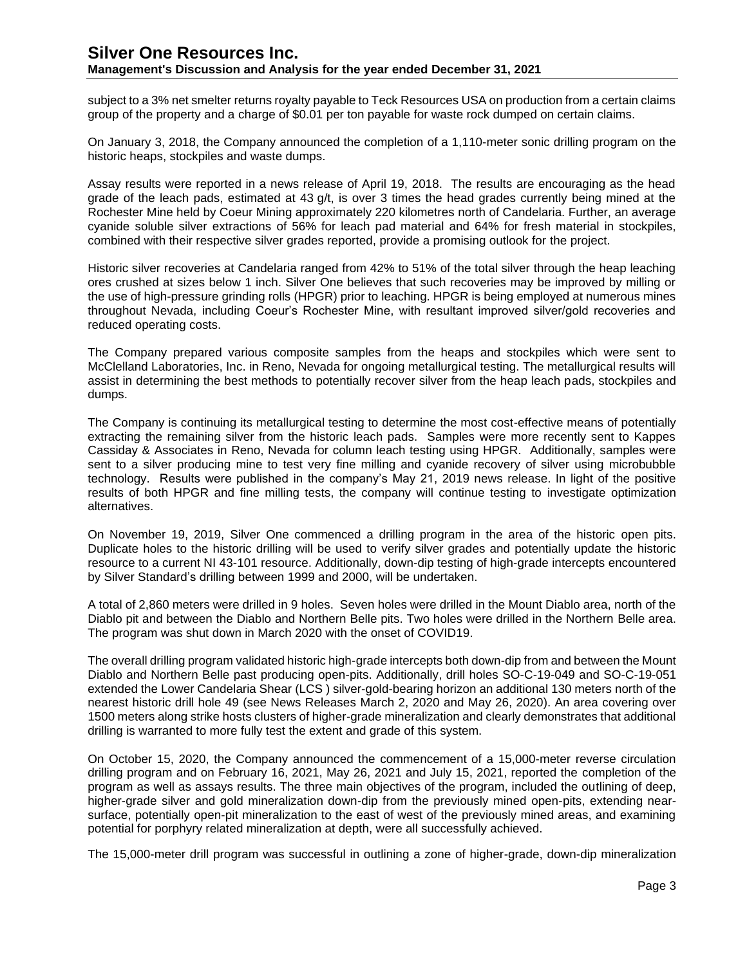subject to a 3% net smelter returns royalty payable to Teck Resources USA on production from a certain claims group of the property and a charge of \$0.01 per ton payable for waste rock dumped on certain claims.

On January 3, 2018, the Company announced the completion of a 1,110-meter sonic drilling program on the historic heaps, stockpiles and waste dumps.

Assay results were reported in a news release of April 19, 2018. The results are encouraging as the head grade of the leach pads, estimated at 43 g/t, is over 3 times the head grades currently being mined at the Rochester Mine held by Coeur Mining approximately 220 kilometres north of Candelaria. Further, an average cyanide soluble silver extractions of 56% for leach pad material and 64% for fresh material in stockpiles, combined with their respective silver grades reported, provide a promising outlook for the project.

Historic silver recoveries at Candelaria ranged from 42% to 51% of the total silver through the heap leaching ores crushed at sizes below 1 inch. Silver One believes that such recoveries may be improved by milling or the use of high-pressure grinding rolls (HPGR) prior to leaching. HPGR is being employed at numerous mines throughout Nevada, including Coeur's Rochester Mine, with resultant improved silver/gold recoveries and reduced operating costs.

The Company prepared various composite samples from the heaps and stockpiles which were sent to McClelland Laboratories, Inc. in Reno, Nevada for ongoing metallurgical testing. The metallurgical results will assist in determining the best methods to potentially recover silver from the heap leach pads, stockpiles and dumps.

The Company is continuing its metallurgical testing to determine the most cost-effective means of potentially extracting the remaining silver from the historic leach pads. Samples were more recently sent to Kappes Cassiday & Associates in Reno, Nevada for column leach testing using HPGR. Additionally, samples were sent to a silver producing mine to test very fine milling and cyanide recovery of silver using microbubble technology. Results were published in the company's May 21, 2019 news release. In light of the positive results of both HPGR and fine milling tests, the company will continue testing to investigate optimization alternatives.

On November 19, 2019, Silver One commenced a drilling program in the area of the historic open pits. Duplicate holes to the historic drilling will be used to verify silver grades and potentially update the historic resource to a current NI 43-101 resource. Additionally, down-dip testing of high-grade intercepts encountered by Silver Standard's drilling between 1999 and 2000, will be undertaken.

A total of 2,860 meters were drilled in 9 holes. Seven holes were drilled in the Mount Diablo area, north of the Diablo pit and between the Diablo and Northern Belle pits. Two holes were drilled in the Northern Belle area. The program was shut down in March 2020 with the onset of COVID19.

The overall drilling program validated historic high-grade intercepts both down-dip from and between the Mount Diablo and Northern Belle past producing open-pits. Additionally, drill holes SO-C-19-049 and SO-C-19-051 extended the Lower Candelaria Shear (LCS ) silver-gold-bearing horizon an additional 130 meters north of the nearest historic drill hole 49 (see News Releases March 2, 2020 and May 26, 2020). An area covering over 1500 meters along strike hosts clusters of higher-grade mineralization and clearly demonstrates that additional drilling is warranted to more fully test the extent and grade of this system.

On October 15, 2020, the Company announced the commencement of a 15,000-meter reverse circulation drilling program and on February 16, 2021, May 26, 2021 and July 15, 2021, reported the completion of the program as well as assays results. The three main objectives of the program, included the outlining of deep, higher-grade silver and gold mineralization down-dip from the previously mined open-pits, extending nearsurface, potentially open-pit mineralization to the east of west of the previously mined areas, and examining potential for porphyry related mineralization at depth, were all successfully achieved.

The 15,000-meter drill program was successful in outlining a zone of higher-grade, down-dip mineralization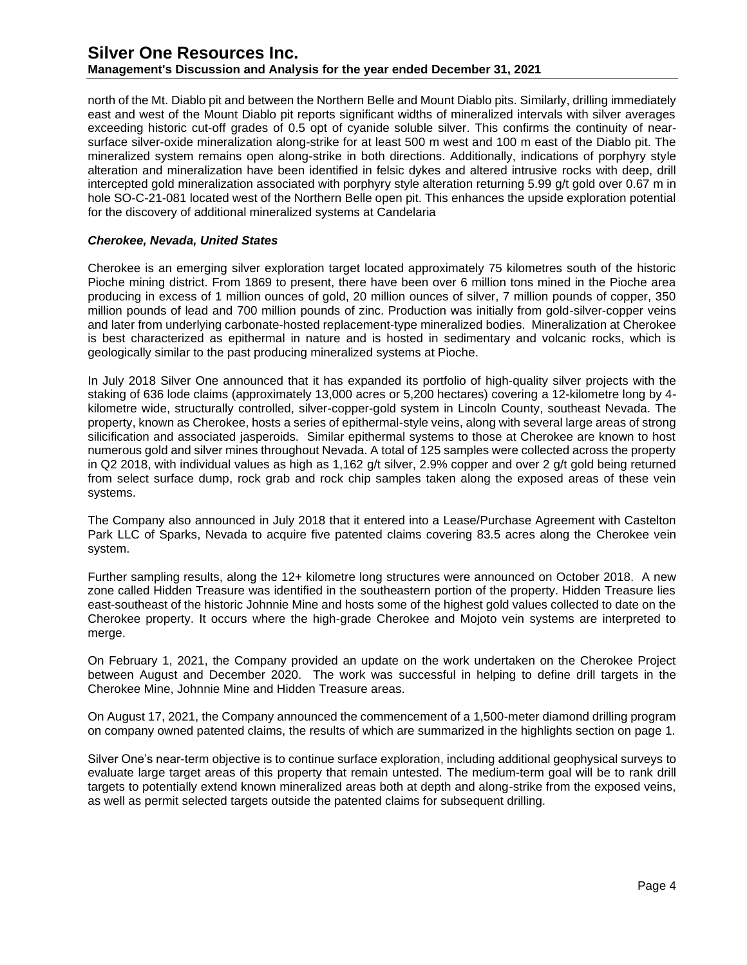north of the Mt. Diablo pit and between the Northern Belle and Mount Diablo pits. Similarly, drilling immediately east and west of the Mount Diablo pit reports significant widths of mineralized intervals with silver averages exceeding historic cut-off grades of 0.5 opt of cyanide soluble silver. This confirms the continuity of nearsurface silver-oxide mineralization along-strike for at least 500 m west and 100 m east of the Diablo pit. The mineralized system remains open along-strike in both directions. Additionally, indications of porphyry style alteration and mineralization have been identified in felsic dykes and altered intrusive rocks with deep, drill intercepted gold mineralization associated with porphyry style alteration returning 5.99 g/t gold over 0.67 m in hole SO-C-21-081 located west of the Northern Belle open pit. This enhances the upside exploration potential for the discovery of additional mineralized systems at Candelaria

### *Cherokee, Nevada, United States*

Cherokee is an emerging silver exploration target located approximately 75 kilometres south of the historic Pioche mining district. From 1869 to present, there have been over 6 million tons mined in the Pioche area producing in excess of 1 million ounces of gold, 20 million ounces of silver, 7 million pounds of copper, 350 million pounds of lead and 700 million pounds of zinc. Production was initially from gold-silver-copper veins and later from underlying carbonate-hosted replacement-type mineralized bodies. Mineralization at Cherokee is best characterized as epithermal in nature and is hosted in sedimentary and volcanic rocks, which is geologically similar to the past producing mineralized systems at Pioche.

In July 2018 Silver One announced that it has expanded its portfolio of high-quality silver projects with the staking of 636 lode claims (approximately 13,000 acres or 5,200 hectares) covering a 12-kilometre long by 4 kilometre wide, structurally controlled, silver-copper-gold system in Lincoln County, southeast Nevada. The property, known as Cherokee, hosts a series of epithermal-style veins, along with several large areas of strong silicification and associated jasperoids. Similar epithermal systems to those at Cherokee are known to host numerous gold and silver mines throughout Nevada. A total of 125 samples were collected across the property in Q2 2018, with individual values as high as 1,162 g/t silver, 2.9% copper and over 2 g/t gold being returned from select surface dump, rock grab and rock chip samples taken along the exposed areas of these vein systems.

The Company also announced in July 2018 that it entered into a Lease/Purchase Agreement with Castelton Park LLC of Sparks, Nevada to acquire five patented claims covering 83.5 acres along the Cherokee vein system.

Further sampling results, along the 12+ kilometre long structures were announced on October 2018. A new zone called Hidden Treasure was identified in the southeastern portion of the property. Hidden Treasure lies east-southeast of the historic Johnnie Mine and hosts some of the highest gold values collected to date on the Cherokee property. It occurs where the high-grade Cherokee and Mojoto vein systems are interpreted to merge.

On February 1, 2021, the Company provided an update on the work undertaken on the Cherokee Project between August and December 2020. The work was successful in helping to define drill targets in the Cherokee Mine, Johnnie Mine and Hidden Treasure areas.

On August 17, 2021, the Company announced the commencement of a 1,500-meter diamond drilling program on company owned patented claims, the results of which are summarized in the highlights section on page 1.

Silver One's near-term objective is to continue surface exploration, including additional geophysical surveys to evaluate large target areas of this property that remain untested. The medium-term goal will be to rank drill targets to potentially extend known mineralized areas both at depth and along-strike from the exposed veins, as well as permit selected targets outside the patented claims for subsequent drilling.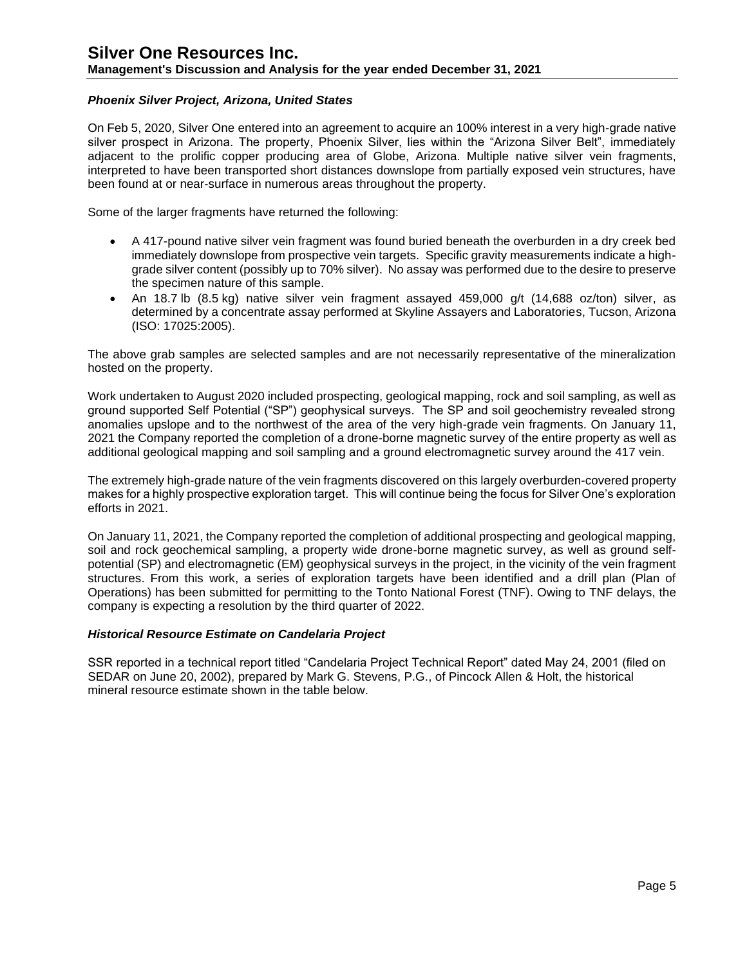## **Management's Discussion and Analysis for the year ended December 31, 2021**

### *Phoenix Silver Project, Arizona, United States*

On Feb 5, 2020, Silver One entered into an agreement to acquire an 100% interest in a very high-grade native silver prospect in Arizona. The property, Phoenix Silver, lies within the "Arizona Silver Belt", immediately adjacent to the prolific copper producing area of Globe, Arizona. Multiple native silver vein fragments, interpreted to have been transported short distances downslope from partially exposed vein structures, have been found at or near-surface in numerous areas throughout the property.

Some of the larger fragments have returned the following:

- A 417-pound native silver vein fragment was found buried beneath the overburden in a dry creek bed immediately downslope from prospective vein targets. Specific gravity measurements indicate a highgrade silver content (possibly up to 70% silver). No assay was performed due to the desire to preserve the specimen nature of this sample.
- An 18.7 lb (8.5 kg) native silver vein fragment assayed 459,000 g/t (14,688 oz/ton) silver, as determined by a concentrate assay performed at Skyline Assayers and Laboratories, Tucson, Arizona (ISO: 17025:2005).

The above grab samples are selected samples and are not necessarily representative of the mineralization hosted on the property.

Work undertaken to August 2020 included prospecting, geological mapping, rock and soil sampling, as well as ground supported Self Potential ("SP") geophysical surveys. The SP and soil geochemistry revealed strong anomalies upslope and to the northwest of the area of the very high-grade vein fragments. On January 11, 2021 the Company reported the completion of a drone-borne magnetic survey of the entire property as well as additional geological mapping and soil sampling and a ground electromagnetic survey around the 417 vein.

The extremely high-grade nature of the vein fragments discovered on this largely overburden-covered property makes for a highly prospective exploration target. This will continue being the focus for Silver One's exploration efforts in 2021.

On January 11, 2021, the Company reported the completion of additional prospecting and geological mapping, soil and rock geochemical sampling, a property wide drone-borne magnetic survey, as well as ground selfpotential (SP) and electromagnetic (EM) geophysical surveys in the project, in the vicinity of the vein fragment structures. From this work, a series of exploration targets have been identified and a drill plan (Plan of Operations) has been submitted for permitting to the Tonto National Forest (TNF). Owing to TNF delays, the company is expecting a resolution by the third quarter of 2022.

### *Historical Resource Estimate on Candelaria Project*

SSR reported in a technical report titled "Candelaria Project Technical Report" dated May 24, 2001 (filed on SEDAR on June 20, 2002), prepared by Mark G. Stevens, P.G., of Pincock Allen & Holt, the historical mineral resource estimate shown in the table below.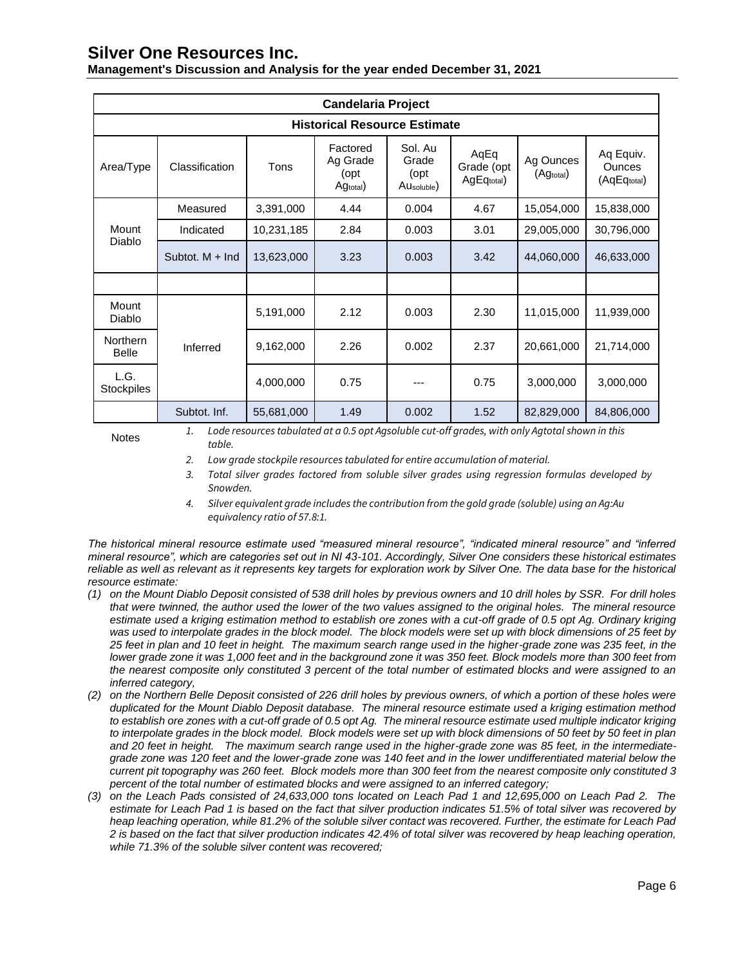| Management's Discussion and Analysis for the year ended December 31, 2021 |  |  |
|---------------------------------------------------------------------------|--|--|
|---------------------------------------------------------------------------|--|--|

| <b>Candelaria Project</b>           |                   |            |                                          |                                        |                                  |                        |                                           |
|-------------------------------------|-------------------|------------|------------------------------------------|----------------------------------------|----------------------------------|------------------------|-------------------------------------------|
| <b>Historical Resource Estimate</b> |                   |            |                                          |                                        |                                  |                        |                                           |
| Area/Type                           | Classification    | Tons       | Factored<br>Ag Grade<br>(opt<br>Agtotal) | Sol. Au<br>Grade<br>(opt<br>AUsoluble) | AqEq<br>Grade (opt<br>AgEqtotal) | Ag Ounces<br>(Agtotal) | Aq Equiv.<br><b>Ounces</b><br>(AqEqtotal) |
|                                     | Measured          | 3,391,000  | 4.44                                     | 0.004                                  | 4.67                             | 15,054,000             | 15,838,000                                |
| Mount                               | Indicated         | 10,231,185 | 2.84                                     | 0.003                                  | 3.01                             | 29,005,000             | 30,796,000                                |
| Diablo                              | Subtot, $M + Ind$ | 13,623,000 | 3.23                                     | 0.003                                  | 3.42                             | 44,060,000             | 46,633,000                                |
|                                     |                   |            |                                          |                                        |                                  |                        |                                           |
| Mount<br>Diablo                     |                   | 5,191,000  | 2.12                                     | 0.003                                  | 2.30                             | 11,015,000             | 11,939,000                                |
| <b>Northern</b><br><b>Belle</b>     | Inferred          | 9,162,000  | 2.26                                     | 0.002                                  | 2.37                             | 20,661,000             | 21,714,000                                |
| L.G.<br><b>Stockpiles</b>           |                   | 4,000,000  | 0.75                                     |                                        | 0.75                             | 3,000,000              | 3,000,000                                 |
|                                     | Subtot. Inf.      | 55,681,000 | 1.49                                     | 0.002                                  | 1.52                             | 82,829,000             | 84,806,000                                |

Notes *1. Lode resources tabulated at a 0.5 opt Agsoluble cut-off grades, with only Agtotal shown in this table.*

- *2. Low grade stockpile resources tabulated for entire accumulation of material.*
- *3. Total silver grades factored from soluble silver grades using regression formulas developed by Snowden.*
- *4. Silver equivalent grade includes the contribution from the gold grade (soluble) using an Ag:Au equivalency ratio of 57.8:1.*

*The historical mineral resource estimate used "measured mineral resource", "indicated mineral resource" and "inferred mineral resource", which are categories set out in NI 43-101. Accordingly, Silver One considers these historical estimates reliable as well as relevant as it represents key targets for exploration work by Silver One. The data base for the historical resource estimate:* 

- *(1) on the Mount Diablo Deposit consisted of 538 drill holes by previous owners and 10 drill holes by SSR. For drill holes that were twinned, the author used the lower of the two values assigned to the original holes. The mineral resource estimate used a kriging estimation method to establish ore zones with a cut-off grade of 0.5 opt Ag. Ordinary kriging was used to interpolate grades in the block model. The block models were set up with block dimensions of 25 feet by 25 feet in plan and 10 feet in height. The maximum search range used in the higher-grade zone was 235 feet, in the lower grade zone it was 1,000 feet and in the background zone it was 350 feet. Block models more than 300 feet from* the nearest composite only constituted 3 percent of the total number of estimated blocks and were assigned to an *inferred category,*
- *(2) on the Northern Belle Deposit consisted of 226 drill holes by previous owners, of which a portion of these holes were duplicated for the Mount Diablo Deposit database. The mineral resource estimate used a kriging estimation method to establish ore zones with a cut-off grade of 0.5 opt Ag. The mineral resource estimate used multiple indicator kriging to interpolate grades in the block model. Block models were set up with block dimensions of 50 feet by 50 feet in plan and 20 feet in height. The maximum search range used in the higher-grade zone was 85 feet, in the intermediategrade zone was 120 feet and the lower-grade zone was 140 feet and in the lower undifferentiated material below the current pit topography was 260 feet. Block models more than 300 feet from the nearest composite only constituted 3 percent of the total number of estimated blocks and were assigned to an inferred category;*
- *(3) on the Leach Pads consisted of 24,633,000 tons located on Leach Pad 1 and 12,695,000 on Leach Pad 2. The estimate for Leach Pad 1 is based on the fact that silver production indicates 51.5% of total silver was recovered by heap leaching operation, while 81.2% of the soluble silver contact was recovered. Further, the estimate for Leach Pad 2 is based on the fact that silver production indicates 42.4% of total silver was recovered by heap leaching operation, while 71.3% of the soluble silver content was recovered;*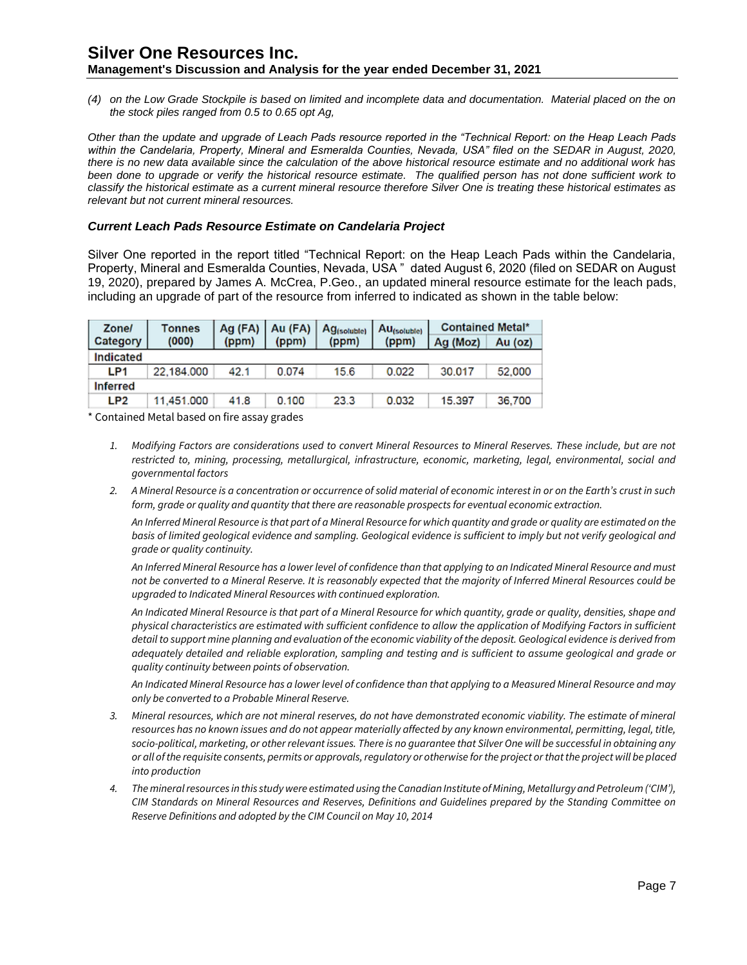*(4) on the Low Grade Stockpile is based on limited and incomplete data and documentation. Material placed on the on the stock piles ranged from 0.5 to 0.65 opt Ag,*

*Other than the update and upgrade of Leach Pads resource reported in the "Technical Report: on the Heap Leach Pads*  within the Candelaria, Property, Mineral and Esmeralda Counties, Nevada, USA" filed on the SEDAR in August, 2020, *there is no new data available since the calculation of the above historical resource estimate and no additional work has been done to upgrade or verify the historical resource estimate. The qualified person has not done sufficient work to classify the historical estimate as a current mineral resource therefore Silver One is treating these historical estimates as relevant but not current mineral resources.*

#### *Current Leach Pads Resource Estimate on Candelaria Project*

Silver One reported in the report titled "Technical Report: on the Heap Leach Pads within the Candelaria, Property, Mineral and Esmeralda Counties, Nevada, USA " dated August 6, 2020 (filed on SEDAR on August 19, 2020), prepared by James A. McCrea, P.Geo., an updated mineral resource estimate for the leach pads, including an upgrade of part of the resource from inferred to indicated as shown in the table below:

| <b>Zone/</b>    | Tonnes     |       | $Aq$ (FA)   Au (FA) | Ag <sub>(soluble)</sub> | Au <sub>(soluble)</sub> | <b>Contained Metal*</b> |         |
|-----------------|------------|-------|---------------------|-------------------------|-------------------------|-------------------------|---------|
| Category        | (000)      | (ppm) | (ppm)               | (ppm)                   | (ppm)                   | Ag (Moz)                | Au (oz) |
| Indicated       |            |       |                     |                         |                         |                         |         |
| LP <sub>1</sub> | 22.184.000 | 42.1  | 0.074               | 15.6                    | 0.022                   | 30,017                  | 52,000  |
| <b>Inferred</b> |            |       |                     |                         |                         |                         |         |
| LP <sub>2</sub> | 11,451.000 | 41.8  | 0.100               | 23.3                    | 0.032                   | 15.397                  | 36,700  |

\* Contained Metal based on fire assay grades

- *1. Modifying Factors are considerations used to convert Mineral Resources to Mineral Reserves. These include, but are not restricted to, mining, processing, metallurgical, infrastructure, economic, marketing, legal, environmental, social and governmental factors*
- *2. A Mineral Resource is a concentration or occurrence of solid material of economic interest in or on the Earth's crust in such form, grade or quality and quantity that there are reasonable prospects for eventual economic extraction.*

*An Inferred Mineral Resource is that part of a Mineral Resource for which quantity and grade or quality are estimated on the*  basis of limited geological evidence and sampling. Geological evidence is sufficient to imply but not verify geological and *grade or quality continuity.*

*An Inferred Mineral Resource has a lower level of confidence than that applying to an Indicated Mineral Resource and must not be converted to a Mineral Reserve. It is reasonably expected that the majority of Inferred Mineral Resources could be upgraded to Indicated Mineral Resources with continued exploration.*

*An Indicated Mineral Resource is that part of a Mineral Resource for which quantity, grade or quality, densities, shape and physical characteristics are estimated with sufficient confidence to allow the application of Modifying Factors in sufficient detail to support mine planning and evaluation of the economic viability of the deposit. Geological evidence is derived from adequately detailed and reliable exploration, sampling and testing and is sufficient to assume geological and grade or quality continuity between points of observation.*

*An Indicated Mineral Resource has a lower level of confidence than that applying to a Measured Mineral Resource and may only be converted to a Probable Mineral Reserve.*

- *3. Mineral resources, which are not mineral reserves, do not have demonstrated economic viability. The estimate of mineral*  resources has no known issues and do not appear materially affected by any known environmental, permitting, legal, title, *socio-political, marketing, or other relevant issues. There is no guarantee that Silver One will be successful in obtaining any or all of the requisite consents, permits or approvals, regulatory or otherwise for the project or that the project will be placed into production*
- *4. The mineral resources in this study were estimated using the Canadian Institute of Mining, Metallurgy and Petroleum ('CIM'), CIM Standards on Mineral Resources and Reserves, Definitions and Guidelines prepared by the Standing Committee on Reserve Definitions and adopted by the CIM Council on May 10, 2014*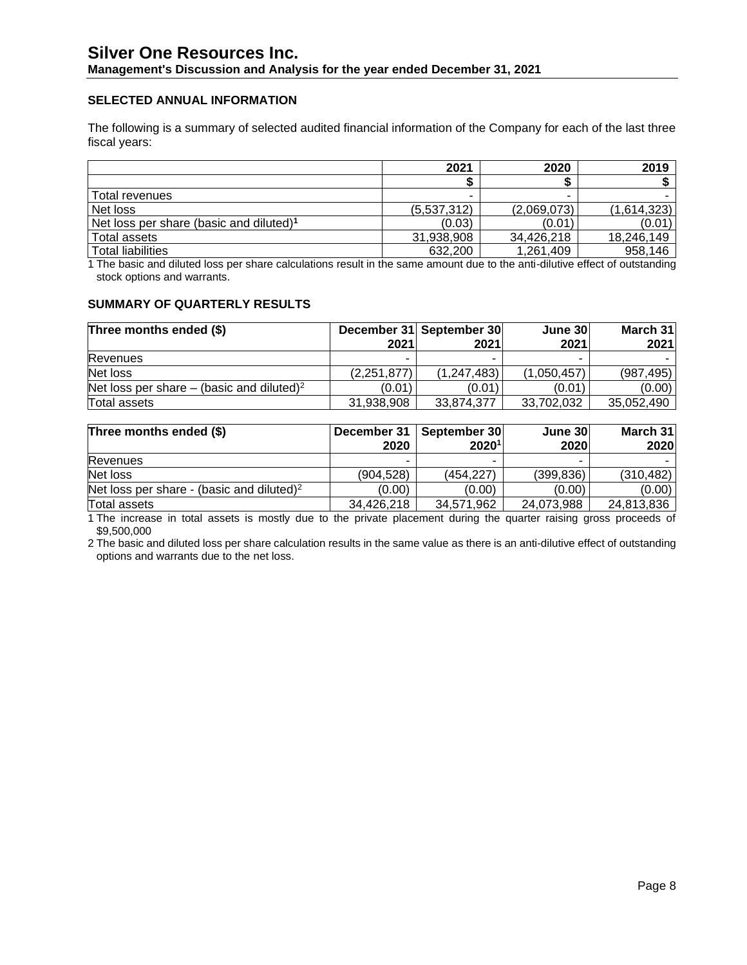### **SELECTED ANNUAL INFORMATION**

The following is a summary of selected audited financial information of the Company for each of the last three fiscal years:

|                                                     | 2021        | 2020        | 2019        |
|-----------------------------------------------------|-------------|-------------|-------------|
|                                                     |             |             |             |
| Total revenues                                      |             |             |             |
| Net loss                                            | (5,537,312) | (2,069,073) | (1,614,323) |
| Net loss per share (basic and diluted) <sup>1</sup> | (0.03)      | (0.01)      | (0.01)      |
| Total assets                                        | 31,938,908  | 34,426,218  | 18,246,149  |
| <b>Total liabilities</b>                            | 632,200     | 1,261,409   | 958,146     |

1 The basic and diluted loss per share calculations result in the same amount due to the anti-dilutive effect of outstanding stock options and warrants.

#### **SUMMARY OF QUARTERLY RESULTS**

| Three months ended (\$)                               |               | December 31 September 30 | June 30     | March 31   |
|-------------------------------------------------------|---------------|--------------------------|-------------|------------|
|                                                       | 2021          | 2021                     | 2021        | 2021       |
| <b>Revenues</b>                                       | -             |                          | -           |            |
| Net loss                                              | (2, 251, 877) | (1, 247, 483)            | (1,050,457) | (987, 495) |
| Net loss per share – (basic and diluted) <sup>2</sup> | (0.01)        | (0.01)                   | (0.01)      | (0.00)     |
| Total assets                                          | 31.938.908    | 33.874.377               | 33.702.032  | 35,052,490 |

| Three months ended (\$)                               | December 31 | September 30      | June 30    | March 31   |
|-------------------------------------------------------|-------------|-------------------|------------|------------|
|                                                       | 2020        | 2020 <sup>1</sup> | 2020       | 2020       |
| <b>Revenues</b>                                       |             |                   | -          |            |
| Net loss                                              | (904.528)   | (454.227)         | (399, 836) | (310, 482) |
| Net loss per share - (basic and diluted) <sup>2</sup> | (0.00)      | (0.00)            | (0.00)     | (0.00)     |
| Total assets                                          | 34,426,218  | 34,571,962        | 24,073,988 | 24,813,836 |

1 The increase in total assets is mostly due to the private placement during the quarter raising gross proceeds of \$9,500,000

2 The basic and diluted loss per share calculation results in the same value as there is an anti-dilutive effect of outstanding options and warrants due to the net loss.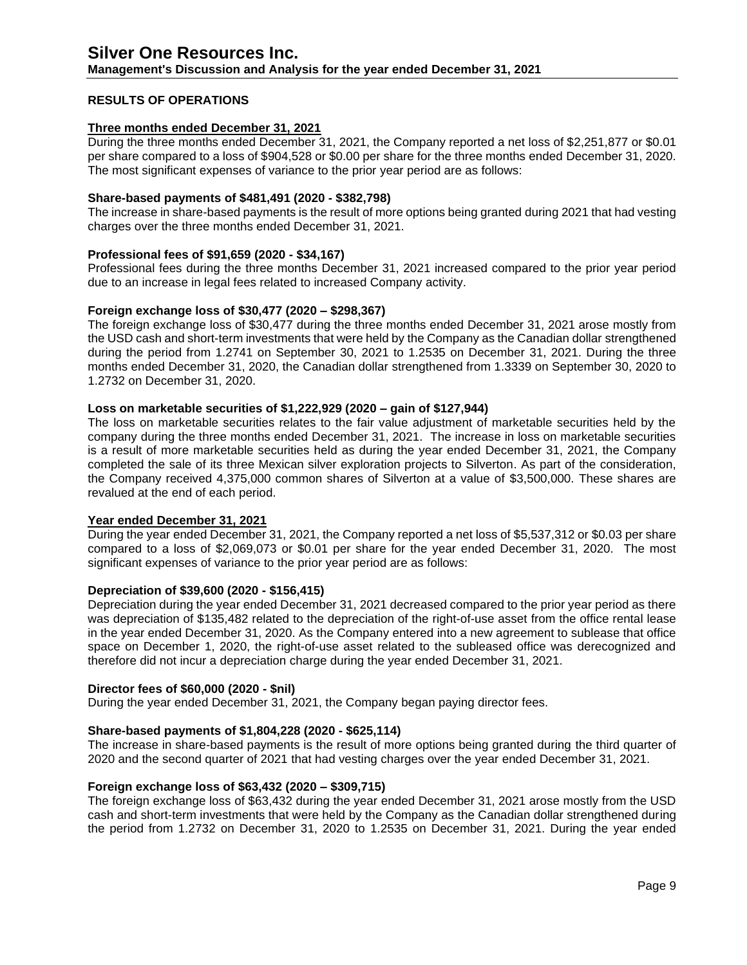### **RESULTS OF OPERATIONS**

#### **Three months ended December 31, 2021**

During the three months ended December 31, 2021, the Company reported a net loss of \$2,251,877 or \$0.01 per share compared to a loss of \$904,528 or \$0.00 per share for the three months ended December 31, 2020. The most significant expenses of variance to the prior year period are as follows:

#### **Share-based payments of \$481,491 (2020 - \$382,798)**

The increase in share-based payments is the result of more options being granted during 2021 that had vesting charges over the three months ended December 31, 2021.

#### **Professional fees of \$91,659 (2020 - \$34,167)**

Professional fees during the three months December 31, 2021 increased compared to the prior year period due to an increase in legal fees related to increased Company activity.

#### **Foreign exchange loss of \$30,477 (2020 – \$298,367)**

The foreign exchange loss of \$30,477 during the three months ended December 31, 2021 arose mostly from the USD cash and short-term investments that were held by the Company as the Canadian dollar strengthened during the period from 1.2741 on September 30, 2021 to 1.2535 on December 31, 2021. During the three months ended December 31, 2020, the Canadian dollar strengthened from 1.3339 on September 30, 2020 to 1.2732 on December 31, 2020.

#### **Loss on marketable securities of \$1,222,929 (2020 – gain of \$127,944)**

The loss on marketable securities relates to the fair value adjustment of marketable securities held by the company during the three months ended December 31, 2021. The increase in loss on marketable securities is a result of more marketable securities held as during the year ended December 31, 2021, the Company completed the sale of its three Mexican silver exploration projects to Silverton. As part of the consideration, the Company received 4,375,000 common shares of Silverton at a value of \$3,500,000. These shares are revalued at the end of each period.

#### **Year ended December 31, 2021**

During the year ended December 31, 2021, the Company reported a net loss of \$5,537,312 or \$0.03 per share compared to a loss of \$2,069,073 or \$0.01 per share for the year ended December 31, 2020. The most significant expenses of variance to the prior year period are as follows:

#### **Depreciation of \$39,600 (2020 - \$156,415)**

Depreciation during the year ended December 31, 2021 decreased compared to the prior year period as there was depreciation of \$135,482 related to the depreciation of the right-of-use asset from the office rental lease in the year ended December 31, 2020. As the Company entered into a new agreement to sublease that office space on December 1, 2020, the right-of-use asset related to the subleased office was derecognized and therefore did not incur a depreciation charge during the year ended December 31, 2021.

#### **Director fees of \$60,000 (2020 - \$nil)**

During the year ended December 31, 2021, the Company began paying director fees.

#### **Share-based payments of \$1,804,228 (2020 - \$625,114)**

The increase in share-based payments is the result of more options being granted during the third quarter of 2020 and the second quarter of 2021 that had vesting charges over the year ended December 31, 2021.

#### **Foreign exchange loss of \$63,432 (2020 – \$309,715)**

The foreign exchange loss of \$63,432 during the year ended December 31, 2021 arose mostly from the USD cash and short-term investments that were held by the Company as the Canadian dollar strengthened during the period from 1.2732 on December 31, 2020 to 1.2535 on December 31, 2021. During the year ended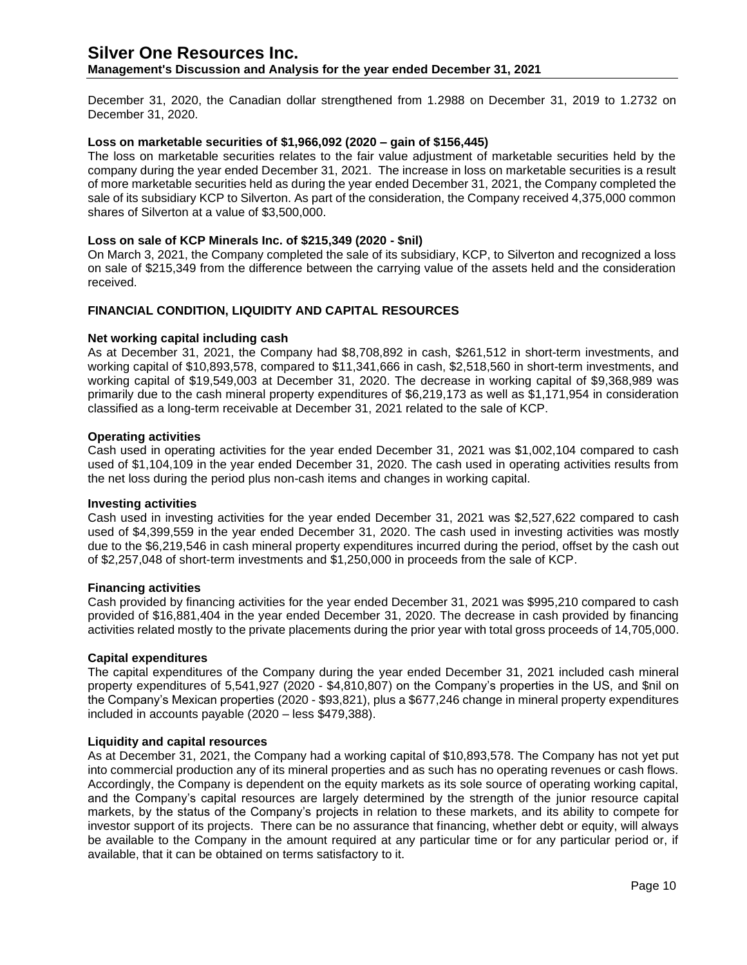**Management's Discussion and Analysis for the year ended December 31, 2021**

December 31, 2020, the Canadian dollar strengthened from 1.2988 on December 31, 2019 to 1.2732 on December 31, 2020.

#### **Loss on marketable securities of \$1,966,092 (2020 – gain of \$156,445)**

The loss on marketable securities relates to the fair value adjustment of marketable securities held by the company during the year ended December 31, 2021. The increase in loss on marketable securities is a result of more marketable securities held as during the year ended December 31, 2021, the Company completed the sale of its subsidiary KCP to Silverton. As part of the consideration, the Company received 4,375,000 common shares of Silverton at a value of \$3,500,000.

#### **Loss on sale of KCP Minerals Inc. of \$215,349 (2020 - \$nil)**

On March 3, 2021, the Company completed the sale of its subsidiary, KCP, to Silverton and recognized a loss on sale of \$215,349 from the difference between the carrying value of the assets held and the consideration received.

#### **FINANCIAL CONDITION, LIQUIDITY AND CAPITAL RESOURCES**

#### **Net working capital including cash**

As at December 31, 2021, the Company had \$8,708,892 in cash, \$261,512 in short-term investments, and working capital of \$10,893,578, compared to \$11,341,666 in cash, \$2,518,560 in short-term investments, and working capital of \$19,549,003 at December 31, 2020. The decrease in working capital of \$9,368,989 was primarily due to the cash mineral property expenditures of \$6,219,173 as well as \$1,171,954 in consideration classified as a long-term receivable at December 31, 2021 related to the sale of KCP.

#### **Operating activities**

Cash used in operating activities for the year ended December 31, 2021 was \$1,002,104 compared to cash used of \$1,104,109 in the year ended December 31, 2020. The cash used in operating activities results from the net loss during the period plus non-cash items and changes in working capital.

#### **Investing activities**

Cash used in investing activities for the year ended December 31, 2021 was \$2,527,622 compared to cash used of \$4,399,559 in the year ended December 31, 2020. The cash used in investing activities was mostly due to the \$6,219,546 in cash mineral property expenditures incurred during the period, offset by the cash out of \$2,257,048 of short-term investments and \$1,250,000 in proceeds from the sale of KCP.

#### **Financing activities**

Cash provided by financing activities for the year ended December 31, 2021 was \$995,210 compared to cash provided of \$16,881,404 in the year ended December 31, 2020. The decrease in cash provided by financing activities related mostly to the private placements during the prior year with total gross proceeds of 14,705,000.

#### **Capital expenditures**

The capital expenditures of the Company during the year ended December 31, 2021 included cash mineral property expenditures of 5,541,927 (2020 - \$4,810,807) on the Company's properties in the US, and \$nil on the Company's Mexican properties (2020 - \$93,821), plus a \$677,246 change in mineral property expenditures included in accounts payable (2020 – less \$479,388).

#### **Liquidity and capital resources**

As at December 31, 2021, the Company had a working capital of \$10,893,578. The Company has not yet put into commercial production any of its mineral properties and as such has no operating revenues or cash flows. Accordingly, the Company is dependent on the equity markets as its sole source of operating working capital, and the Company's capital resources are largely determined by the strength of the junior resource capital markets, by the status of the Company's projects in relation to these markets, and its ability to compete for investor support of its projects. There can be no assurance that financing, whether debt or equity, will always be available to the Company in the amount required at any particular time or for any particular period or, if available, that it can be obtained on terms satisfactory to it.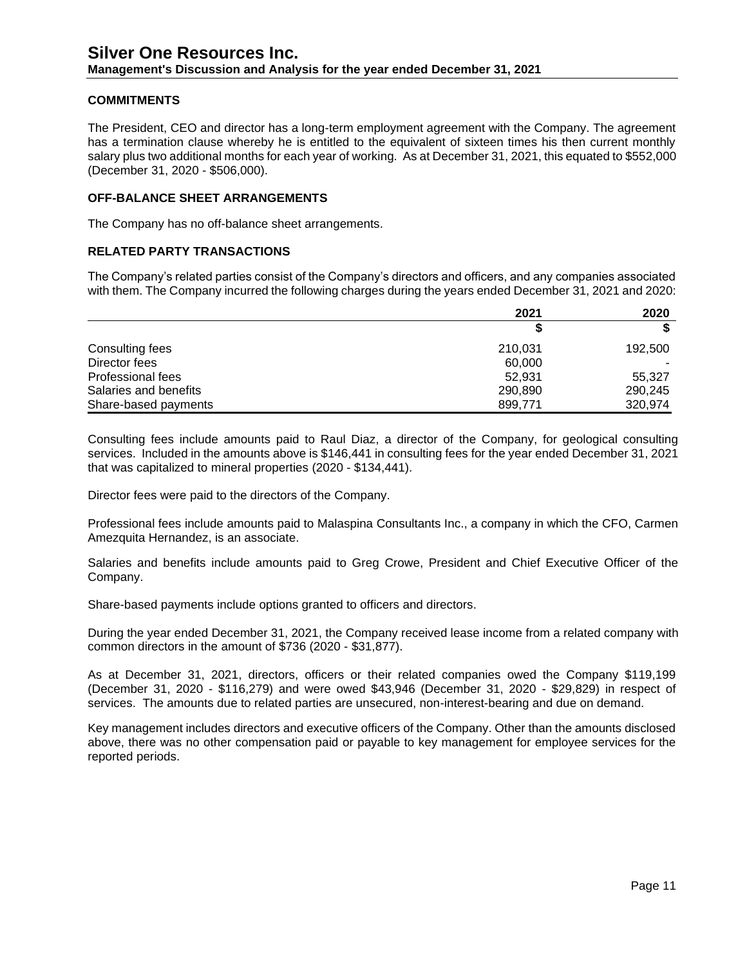### **COMMITMENTS**

The President, CEO and director has a long-term employment agreement with the Company. The agreement has a termination clause whereby he is entitled to the equivalent of sixteen times his then current monthly salary plus two additional months for each year of working. As at December 31, 2021, this equated to \$552,000 (December 31, 2020 - \$506,000).

#### **OFF-BALANCE SHEET ARRANGEMENTS**

The Company has no off-balance sheet arrangements.

#### **RELATED PARTY TRANSACTIONS**

The Company's related parties consist of the Company's directors and officers, and any companies associated with them. The Company incurred the following charges during the years ended December 31, 2021 and 2020:

|                          | 2021    | 2020    |
|--------------------------|---------|---------|
|                          |         |         |
| Consulting fees          | 210,031 | 192,500 |
| Director fees            | 60,000  |         |
| <b>Professional fees</b> | 52.931  | 55.327  |
| Salaries and benefits    | 290,890 | 290,245 |
| Share-based payments     | 899,771 | 320,974 |

Consulting fees include amounts paid to Raul Diaz, a director of the Company, for geological consulting services. Included in the amounts above is \$146,441 in consulting fees for the year ended December 31, 2021 that was capitalized to mineral properties (2020 - \$134,441).

Director fees were paid to the directors of the Company.

Professional fees include amounts paid to Malaspina Consultants Inc., a company in which the CFO, Carmen Amezquita Hernandez, is an associate.

Salaries and benefits include amounts paid to Greg Crowe, President and Chief Executive Officer of the Company.

Share-based payments include options granted to officers and directors.

During the year ended December 31, 2021, the Company received lease income from a related company with common directors in the amount of \$736 (2020 - \$31,877).

As at December 31, 2021, directors, officers or their related companies owed the Company \$119,199 (December 31, 2020 - \$116,279) and were owed \$43,946 (December 31, 2020 - \$29,829) in respect of services. The amounts due to related parties are unsecured, non-interest-bearing and due on demand.

Key management includes directors and executive officers of the Company. Other than the amounts disclosed above, there was no other compensation paid or payable to key management for employee services for the reported periods.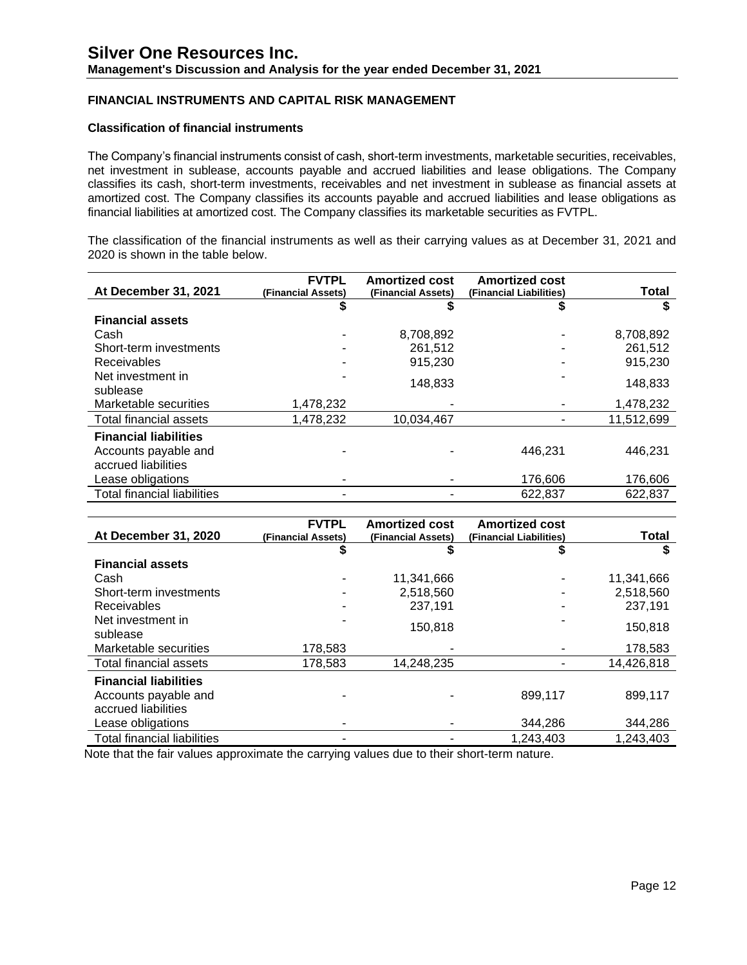## **FINANCIAL INSTRUMENTS AND CAPITAL RISK MANAGEMENT**

#### **Classification of financial instruments**

The Company's financial instruments consist of cash, short-term investments, marketable securities, receivables, net investment in sublease, accounts payable and accrued liabilities and lease obligations. The Company classifies its cash, short-term investments, receivables and net investment in sublease as financial assets at amortized cost. The Company classifies its accounts payable and accrued liabilities and lease obligations as financial liabilities at amortized cost. The Company classifies its marketable securities as FVTPL.

The classification of the financial instruments as well as their carrying values as at December 31, 2021 and 2020 is shown in the table below.

| At December 31, 2021               | <b>FVTPL</b>       | <b>Amortized cost</b> | <b>Amortized cost</b>   |            |
|------------------------------------|--------------------|-----------------------|-------------------------|------------|
|                                    | (Financial Assets) | (Financial Assets)    | (Financial Liabilities) | Total      |
|                                    |                    |                       |                         |            |
| <b>Financial assets</b>            |                    |                       |                         |            |
| Cash                               |                    | 8,708,892             |                         | 8,708,892  |
| Short-term investments             |                    | 261,512               |                         | 261.512    |
| <b>Receivables</b>                 |                    | 915.230               |                         | 915,230    |
| Net investment in                  |                    |                       |                         |            |
| sublease                           |                    |                       |                         |            |
| Marketable securities              | 1,478,232          |                       |                         | 1,478,232  |
| Total financial assets             | 1,478,232          | 10.034.467            |                         | 11,512,699 |
| <b>Financial liabilities</b>       |                    |                       |                         |            |
|                                    |                    |                       | 446.231                 | 446.231    |
| accrued liabilities                |                    |                       |                         |            |
| Lease obligations                  |                    |                       | 176,606                 | 176,606    |
| <b>Total financial liabilities</b> |                    |                       | 622,837                 | 622,837    |
| Accounts payable and               |                    | 148,833               |                         | 148,833    |

|                                    | <b>FVTPL</b>       | <b>Amortized cost</b> | <b>Amortized cost</b>   | <b>Total</b> |
|------------------------------------|--------------------|-----------------------|-------------------------|--------------|
| <b>At December 31, 2020</b>        | (Financial Assets) | (Financial Assets)    | (Financial Liabilities) |              |
|                                    | \$                 | 5                     | \$                      |              |
| <b>Financial assets</b>            |                    |                       |                         |              |
| Cash                               |                    | 11,341,666            |                         | 11,341,666   |
| Short-term investments             |                    | 2,518,560             |                         | 2,518,560    |
| <b>Receivables</b>                 |                    | 237,191               |                         | 237,191      |
| Net investment in                  |                    | 150,818               |                         | 150,818      |
| sublease                           |                    |                       |                         |              |
| Marketable securities              | 178,583            |                       |                         | 178,583      |
| Total financial assets             | 178,583            | 14,248,235            |                         | 14,426,818   |
| <b>Financial liabilities</b>       |                    |                       |                         |              |
| Accounts payable and               |                    |                       | 899.117                 | 899.117      |
| accrued liabilities                |                    |                       |                         |              |
| Lease obligations                  |                    |                       | 344.286                 | 344,286      |
| <b>Total financial liabilities</b> |                    |                       | 1,243,403               | 1,243,403    |

Note that the fair values approximate the carrying values due to their short-term nature.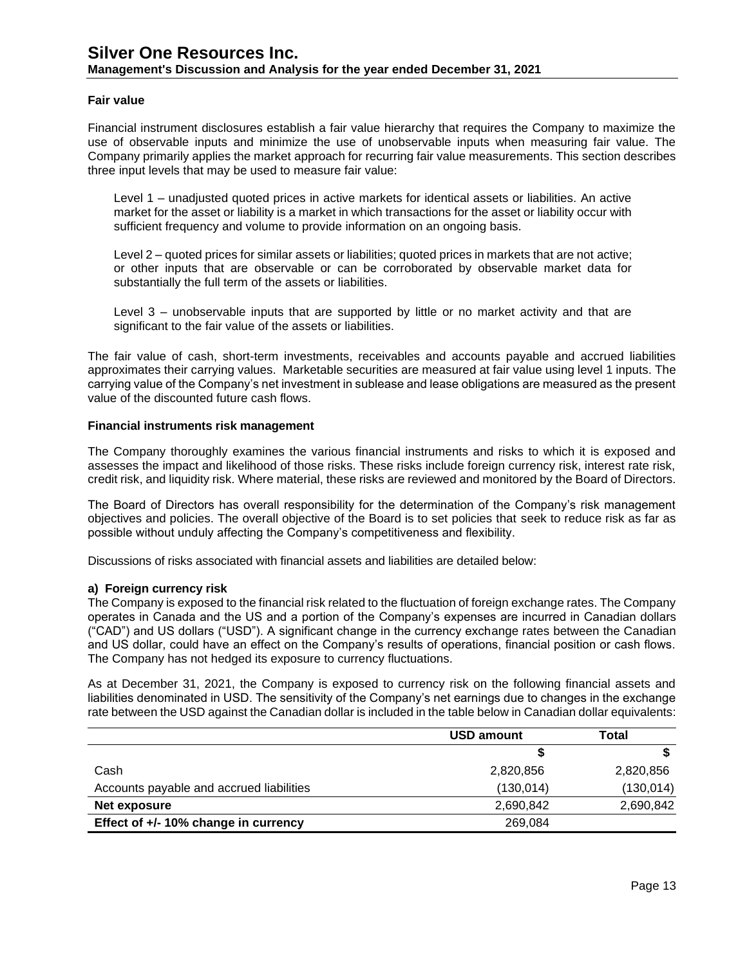#### **Fair value**

Financial instrument disclosures establish a fair value hierarchy that requires the Company to maximize the use of observable inputs and minimize the use of unobservable inputs when measuring fair value. The Company primarily applies the market approach for recurring fair value measurements. This section describes three input levels that may be used to measure fair value:

Level 1 – unadjusted quoted prices in active markets for identical assets or liabilities. An active market for the asset or liability is a market in which transactions for the asset or liability occur with sufficient frequency and volume to provide information on an ongoing basis.

Level 2 – quoted prices for similar assets or liabilities; quoted prices in markets that are not active; or other inputs that are observable or can be corroborated by observable market data for substantially the full term of the assets or liabilities.

Level 3 – unobservable inputs that are supported by little or no market activity and that are significant to the fair value of the assets or liabilities.

The fair value of cash, short-term investments, receivables and accounts payable and accrued liabilities approximates their carrying values. Marketable securities are measured at fair value using level 1 inputs. The carrying value of the Company's net investment in sublease and lease obligations are measured as the present value of the discounted future cash flows.

#### **Financial instruments risk management**

The Company thoroughly examines the various financial instruments and risks to which it is exposed and assesses the impact and likelihood of those risks. These risks include foreign currency risk, interest rate risk, credit risk, and liquidity risk. Where material, these risks are reviewed and monitored by the Board of Directors.

The Board of Directors has overall responsibility for the determination of the Company's risk management objectives and policies. The overall objective of the Board is to set policies that seek to reduce risk as far as possible without unduly affecting the Company's competitiveness and flexibility.

Discussions of risks associated with financial assets and liabilities are detailed below:

#### **a) Foreign currency risk**

The Company is exposed to the financial risk related to the fluctuation of foreign exchange rates. The Company operates in Canada and the US and a portion of the Company's expenses are incurred in Canadian dollars ("CAD") and US dollars ("USD"). A significant change in the currency exchange rates between the Canadian and US dollar, could have an effect on the Company's results of operations, financial position or cash flows. The Company has not hedged its exposure to currency fluctuations.

As at December 31, 2021, the Company is exposed to currency risk on the following financial assets and liabilities denominated in USD. The sensitivity of the Company's net earnings due to changes in the exchange rate between the USD against the Canadian dollar is included in the table below in Canadian dollar equivalents:

|                                          | <b>USD amount</b> | <b>Total</b> |
|------------------------------------------|-------------------|--------------|
|                                          |                   |              |
| Cash                                     | 2,820,856         | 2,820,856    |
| Accounts payable and accrued liabilities | (130, 014)        | (130, 014)   |
| Net exposure                             | 2,690,842         | 2,690,842    |
| Effect of +/- 10% change in currency     | 269,084           |              |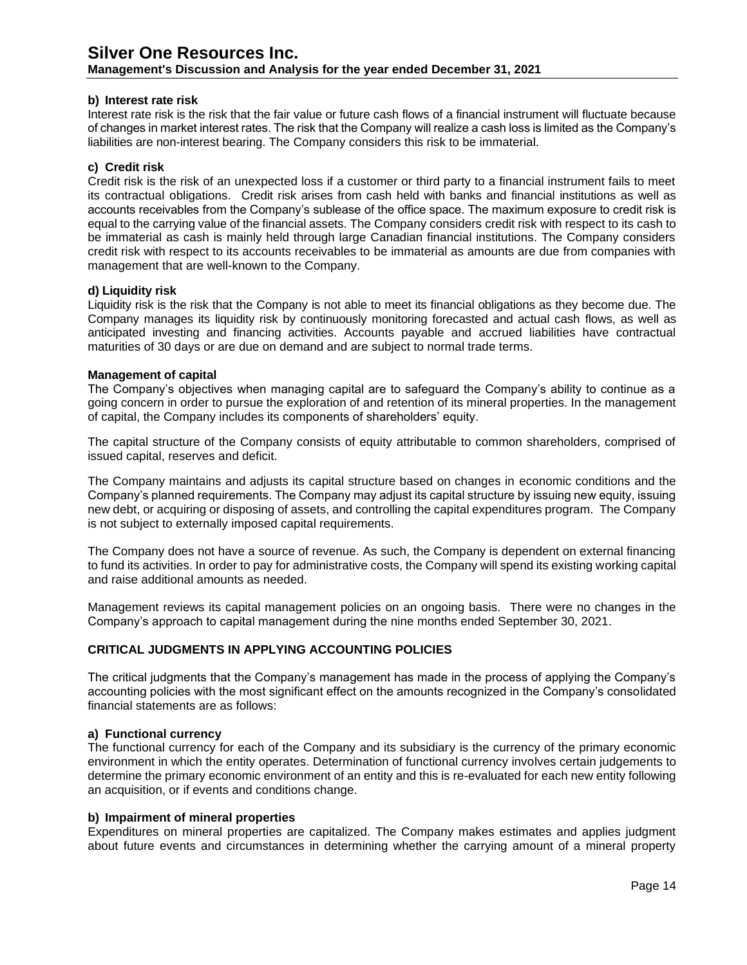**Management's Discussion and Analysis for the year ended December 31, 2021**

#### **b) Interest rate risk**

Interest rate risk is the risk that the fair value or future cash flows of a financial instrument will fluctuate because of changes in market interest rates. The risk that the Company will realize a cash loss is limited as the Company's liabilities are non-interest bearing. The Company considers this risk to be immaterial.

### **c) Credit risk**

Credit risk is the risk of an unexpected loss if a customer or third party to a financial instrument fails to meet its contractual obligations. Credit risk arises from cash held with banks and financial institutions as well as accounts receivables from the Company's sublease of the office space. The maximum exposure to credit risk is equal to the carrying value of the financial assets. The Company considers credit risk with respect to its cash to be immaterial as cash is mainly held through large Canadian financial institutions. The Company considers credit risk with respect to its accounts receivables to be immaterial as amounts are due from companies with management that are well-known to the Company.

#### **d) Liquidity risk**

Liquidity risk is the risk that the Company is not able to meet its financial obligations as they become due. The Company manages its liquidity risk by continuously monitoring forecasted and actual cash flows, as well as anticipated investing and financing activities. Accounts payable and accrued liabilities have contractual maturities of 30 days or are due on demand and are subject to normal trade terms.

### **Management of capital**

The Company's objectives when managing capital are to safeguard the Company's ability to continue as a going concern in order to pursue the exploration of and retention of its mineral properties. In the management of capital, the Company includes its components of shareholders' equity.

The capital structure of the Company consists of equity attributable to common shareholders, comprised of issued capital, reserves and deficit.

The Company maintains and adjusts its capital structure based on changes in economic conditions and the Company's planned requirements. The Company may adjust its capital structure by issuing new equity, issuing new debt, or acquiring or disposing of assets, and controlling the capital expenditures program. The Company is not subject to externally imposed capital requirements.

The Company does not have a source of revenue. As such, the Company is dependent on external financing to fund its activities. In order to pay for administrative costs, the Company will spend its existing working capital and raise additional amounts as needed.

Management reviews its capital management policies on an ongoing basis. There were no changes in the Company's approach to capital management during the nine months ended September 30, 2021.

## **CRITICAL JUDGMENTS IN APPLYING ACCOUNTING POLICIES**

The critical judgments that the Company's management has made in the process of applying the Company's accounting policies with the most significant effect on the amounts recognized in the Company's consolidated financial statements are as follows:

#### **a) Functional currency**

The functional currency for each of the Company and its subsidiary is the currency of the primary economic environment in which the entity operates. Determination of functional currency involves certain judgements to determine the primary economic environment of an entity and this is re-evaluated for each new entity following an acquisition, or if events and conditions change.

#### **b) Impairment of mineral properties**

Expenditures on mineral properties are capitalized. The Company makes estimates and applies judgment about future events and circumstances in determining whether the carrying amount of a mineral property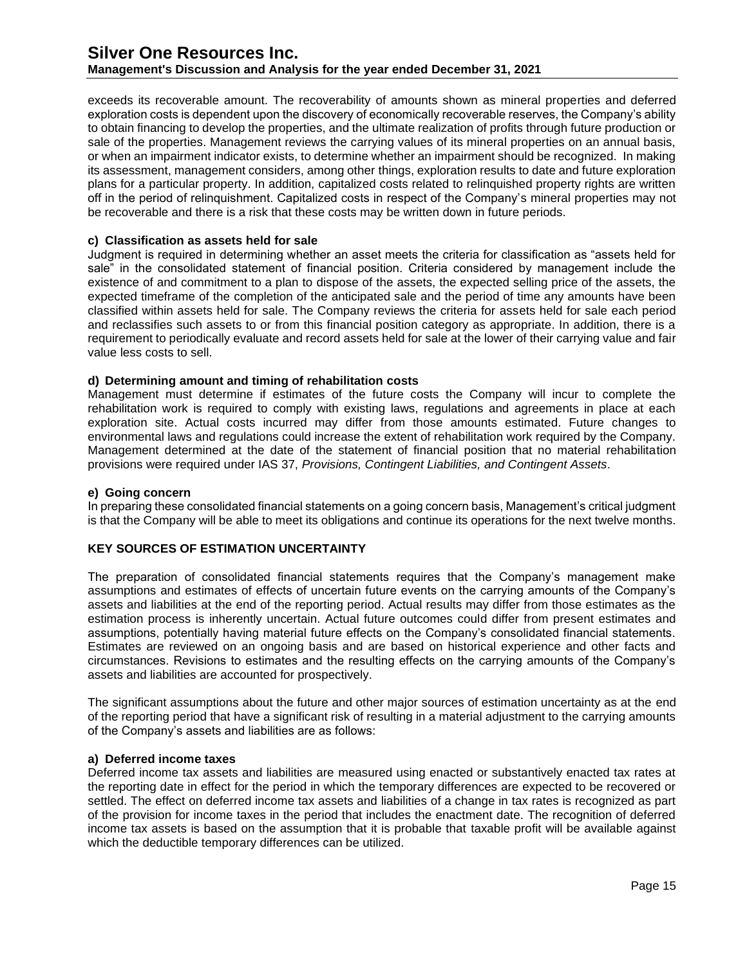exceeds its recoverable amount. The recoverability of amounts shown as mineral properties and deferred exploration costs is dependent upon the discovery of economically recoverable reserves, the Company's ability to obtain financing to develop the properties, and the ultimate realization of profits through future production or sale of the properties. Management reviews the carrying values of its mineral properties on an annual basis, or when an impairment indicator exists, to determine whether an impairment should be recognized. In making its assessment, management considers, among other things, exploration results to date and future exploration plans for a particular property. In addition, capitalized costs related to relinquished property rights are written off in the period of relinquishment. Capitalized costs in respect of the Company's mineral properties may not be recoverable and there is a risk that these costs may be written down in future periods.

#### **c) Classification as assets held for sale**

Judgment is required in determining whether an asset meets the criteria for classification as "assets held for sale" in the consolidated statement of financial position. Criteria considered by management include the existence of and commitment to a plan to dispose of the assets, the expected selling price of the assets, the expected timeframe of the completion of the anticipated sale and the period of time any amounts have been classified within assets held for sale. The Company reviews the criteria for assets held for sale each period and reclassifies such assets to or from this financial position category as appropriate. In addition, there is a requirement to periodically evaluate and record assets held for sale at the lower of their carrying value and fair value less costs to sell.

### **d) Determining amount and timing of rehabilitation costs**

Management must determine if estimates of the future costs the Company will incur to complete the rehabilitation work is required to comply with existing laws, regulations and agreements in place at each exploration site. Actual costs incurred may differ from those amounts estimated. Future changes to environmental laws and regulations could increase the extent of rehabilitation work required by the Company. Management determined at the date of the statement of financial position that no material rehabilitation provisions were required under IAS 37, *Provisions, Contingent Liabilities, and Contingent Assets*.

#### **e) Going concern**

In preparing these consolidated financial statements on a going concern basis, Management's critical judgment is that the Company will be able to meet its obligations and continue its operations for the next twelve months.

#### **KEY SOURCES OF ESTIMATION UNCERTAINTY**

The preparation of consolidated financial statements requires that the Company's management make assumptions and estimates of effects of uncertain future events on the carrying amounts of the Company's assets and liabilities at the end of the reporting period. Actual results may differ from those estimates as the estimation process is inherently uncertain. Actual future outcomes could differ from present estimates and assumptions, potentially having material future effects on the Company's consolidated financial statements. Estimates are reviewed on an ongoing basis and are based on historical experience and other facts and circumstances. Revisions to estimates and the resulting effects on the carrying amounts of the Company's assets and liabilities are accounted for prospectively.

The significant assumptions about the future and other major sources of estimation uncertainty as at the end of the reporting period that have a significant risk of resulting in a material adjustment to the carrying amounts of the Company's assets and liabilities are as follows:

#### **a) Deferred income taxes**

Deferred income tax assets and liabilities are measured using enacted or substantively enacted tax rates at the reporting date in effect for the period in which the temporary differences are expected to be recovered or settled. The effect on deferred income tax assets and liabilities of a change in tax rates is recognized as part of the provision for income taxes in the period that includes the enactment date. The recognition of deferred income tax assets is based on the assumption that it is probable that taxable profit will be available against which the deductible temporary differences can be utilized.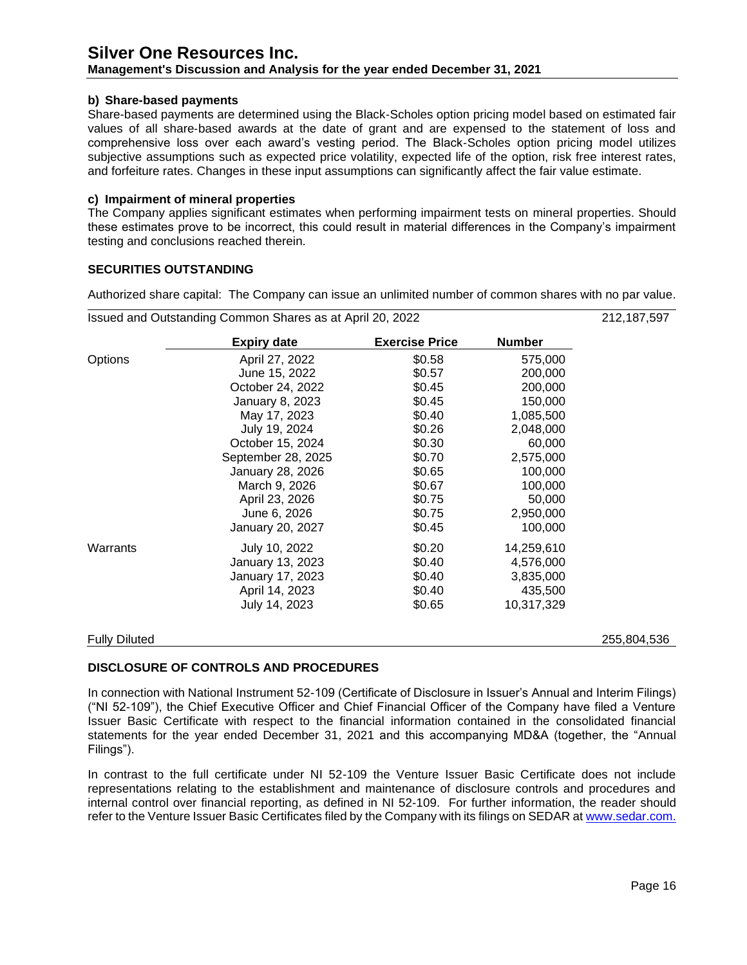## **Management's Discussion and Analysis for the year ended December 31, 2021**

#### **b) Share-based payments**

Share-based payments are determined using the Black‐Scholes option pricing model based on estimated fair values of all share‐based awards at the date of grant and are expensed to the statement of loss and comprehensive loss over each award's vesting period. The Black‐Scholes option pricing model utilizes subjective assumptions such as expected price volatility, expected life of the option, risk free interest rates, and forfeiture rates. Changes in these input assumptions can significantly affect the fair value estimate.

### **c) Impairment of mineral properties**

The Company applies significant estimates when performing impairment tests on mineral properties. Should these estimates prove to be incorrect, this could result in material differences in the Company's impairment testing and conclusions reached therein.

### **SECURITIES OUTSTANDING**

Authorized share capital: The Company can issue an unlimited number of common shares with no par value.

|                      | <b>Expiry date</b> | <b>Exercise Price</b> | <b>Number</b> |             |
|----------------------|--------------------|-----------------------|---------------|-------------|
| Options              | April 27, 2022     | \$0.58                | 575,000       |             |
|                      | June 15, 2022      | \$0.57                | 200,000       |             |
|                      | October 24, 2022   | \$0.45                | 200,000       |             |
|                      | January 8, 2023    | \$0.45                | 150,000       |             |
|                      | May 17, 2023       | \$0.40                | 1,085,500     |             |
|                      | July 19, 2024      | \$0.26                | 2,048,000     |             |
|                      | October 15, 2024   | \$0.30                | 60,000        |             |
|                      | September 28, 2025 | \$0.70                | 2,575,000     |             |
|                      | January 28, 2026   | \$0.65                | 100,000       |             |
|                      | March 9, 2026      | \$0.67                | 100,000       |             |
|                      | April 23, 2026     | \$0.75                | 50,000        |             |
|                      | June 6, 2026       | \$0.75                | 2,950,000     |             |
|                      | January 20, 2027   | \$0.45                | 100,000       |             |
| Warrants             | July 10, 2022      | \$0.20                | 14,259,610    |             |
|                      | January 13, 2023   | \$0.40                | 4,576,000     |             |
|                      | January 17, 2023   | \$0.40                | 3,835,000     |             |
|                      | April 14, 2023     | \$0.40                | 435,500       |             |
|                      | July 14, 2023      | \$0.65                | 10,317,329    |             |
| <b>Fully Diluted</b> |                    |                       |               | 255,804,536 |

## **DISCLOSURE OF CONTROLS AND PROCEDURES**

In connection with National Instrument 52-109 (Certificate of Disclosure in Issuer's Annual and Interim Filings) ("NI 52-109"), the Chief Executive Officer and Chief Financial Officer of the Company have filed a Venture Issuer Basic Certificate with respect to the financial information contained in the consolidated financial statements for the year ended December 31, 2021 and this accompanying MD&A (together, the "Annual Filings").

In contrast to the full certificate under NI 52-109 the Venture Issuer Basic Certificate does not include representations relating to the establishment and maintenance of disclosure controls and procedures and internal control over financial reporting, as defined in NI 52-109. For further information, the reader should refer to the Venture Issuer Basic Certificates filed by the Company with its filings on SEDAR a[t www.sedar.com.](http://www.sedar.com/)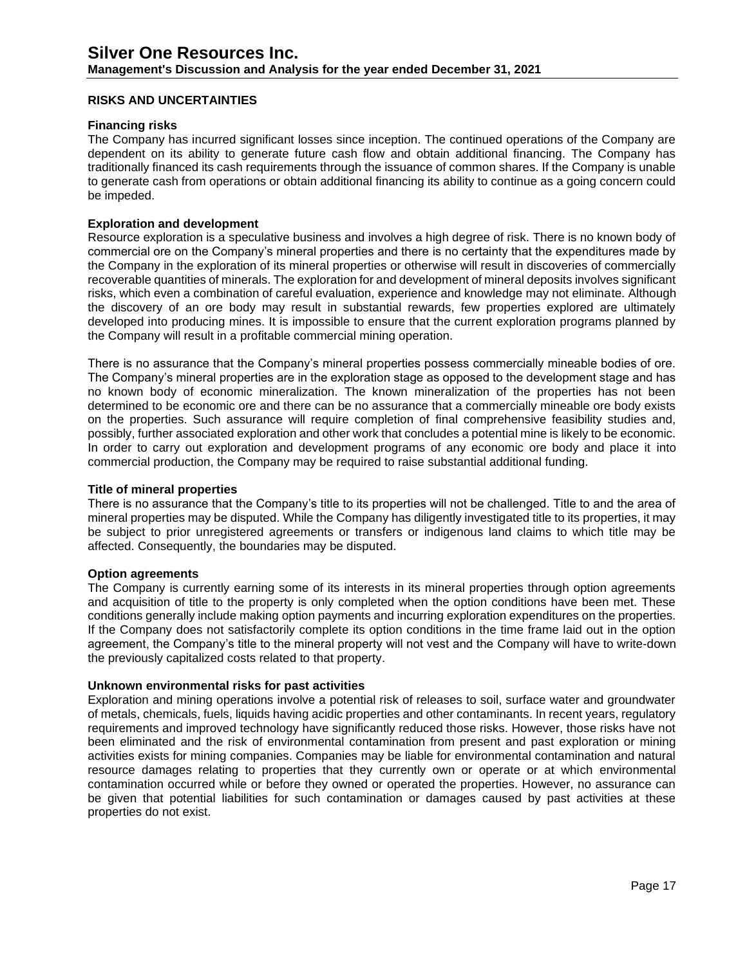### **RISKS AND UNCERTAINTIES**

#### **Financing risks**

The Company has incurred significant losses since inception. The continued operations of the Company are dependent on its ability to generate future cash flow and obtain additional financing. The Company has traditionally financed its cash requirements through the issuance of common shares. If the Company is unable to generate cash from operations or obtain additional financing its ability to continue as a going concern could be impeded.

#### **Exploration and development**

Resource exploration is a speculative business and involves a high degree of risk. There is no known body of commercial ore on the Company's mineral properties and there is no certainty that the expenditures made by the Company in the exploration of its mineral properties or otherwise will result in discoveries of commercially recoverable quantities of minerals. The exploration for and development of mineral deposits involves significant risks, which even a combination of careful evaluation, experience and knowledge may not eliminate. Although the discovery of an ore body may result in substantial rewards, few properties explored are ultimately developed into producing mines. It is impossible to ensure that the current exploration programs planned by the Company will result in a profitable commercial mining operation.

There is no assurance that the Company's mineral properties possess commercially mineable bodies of ore. The Company's mineral properties are in the exploration stage as opposed to the development stage and has no known body of economic mineralization. The known mineralization of the properties has not been determined to be economic ore and there can be no assurance that a commercially mineable ore body exists on the properties. Such assurance will require completion of final comprehensive feasibility studies and, possibly, further associated exploration and other work that concludes a potential mine is likely to be economic. In order to carry out exploration and development programs of any economic ore body and place it into commercial production, the Company may be required to raise substantial additional funding.

#### **Title of mineral properties**

There is no assurance that the Company's title to its properties will not be challenged. Title to and the area of mineral properties may be disputed. While the Company has diligently investigated title to its properties, it may be subject to prior unregistered agreements or transfers or indigenous land claims to which title may be affected. Consequently, the boundaries may be disputed.

#### **Option agreements**

The Company is currently earning some of its interests in its mineral properties through option agreements and acquisition of title to the property is only completed when the option conditions have been met. These conditions generally include making option payments and incurring exploration expenditures on the properties. If the Company does not satisfactorily complete its option conditions in the time frame laid out in the option agreement, the Company's title to the mineral property will not vest and the Company will have to write-down the previously capitalized costs related to that property.

#### **Unknown environmental risks for past activities**

Exploration and mining operations involve a potential risk of releases to soil, surface water and groundwater of metals, chemicals, fuels, liquids having acidic properties and other contaminants. In recent years, regulatory requirements and improved technology have significantly reduced those risks. However, those risks have not been eliminated and the risk of environmental contamination from present and past exploration or mining activities exists for mining companies. Companies may be liable for environmental contamination and natural resource damages relating to properties that they currently own or operate or at which environmental contamination occurred while or before they owned or operated the properties. However, no assurance can be given that potential liabilities for such contamination or damages caused by past activities at these properties do not exist.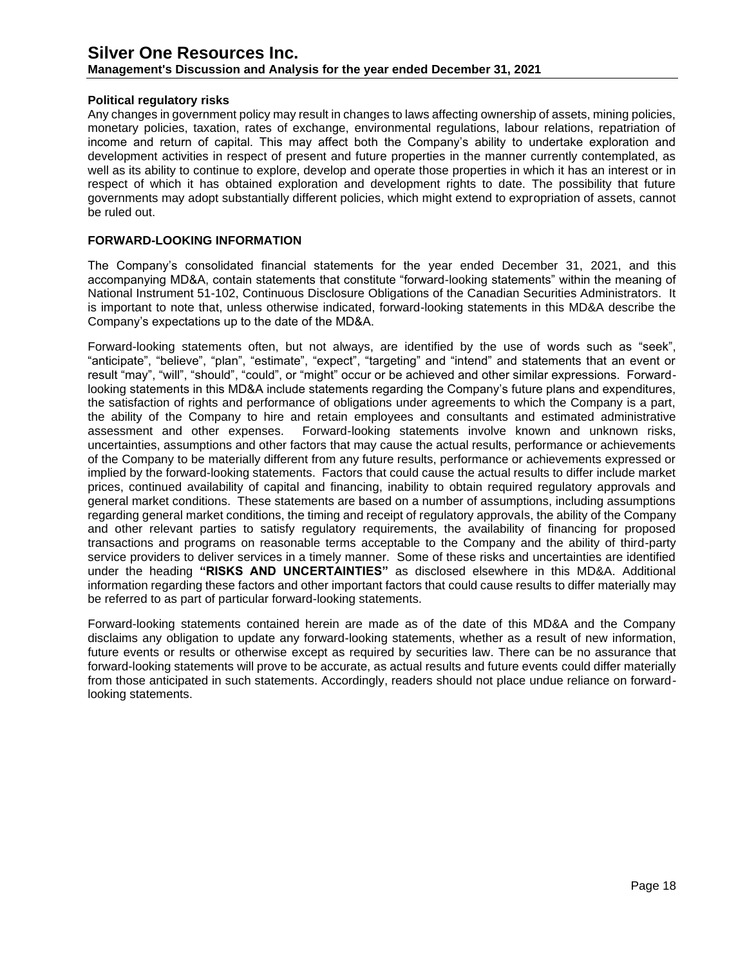**Management's Discussion and Analysis for the year ended December 31, 2021**

### **Political regulatory risks**

Any changes in government policy may result in changes to laws affecting ownership of assets, mining policies, monetary policies, taxation, rates of exchange, environmental regulations, labour relations, repatriation of income and return of capital. This may affect both the Company's ability to undertake exploration and development activities in respect of present and future properties in the manner currently contemplated, as well as its ability to continue to explore, develop and operate those properties in which it has an interest or in respect of which it has obtained exploration and development rights to date. The possibility that future governments may adopt substantially different policies, which might extend to expropriation of assets, cannot be ruled out.

## **FORWARD-LOOKING INFORMATION**

The Company's consolidated financial statements for the year ended December 31, 2021, and this accompanying MD&A, contain statements that constitute "forward-looking statements" within the meaning of National Instrument 51-102, Continuous Disclosure Obligations of the Canadian Securities Administrators. It is important to note that, unless otherwise indicated, forward-looking statements in this MD&A describe the Company's expectations up to the date of the MD&A.

Forward-looking statements often, but not always, are identified by the use of words such as "seek", "anticipate", "believe", "plan", "estimate", "expect", "targeting" and "intend" and statements that an event or result "may", "will", "should", "could", or "might" occur or be achieved and other similar expressions. Forwardlooking statements in this MD&A include statements regarding the Company's future plans and expenditures, the satisfaction of rights and performance of obligations under agreements to which the Company is a part, the ability of the Company to hire and retain employees and consultants and estimated administrative assessment and other expenses. Forward-looking statements involve known and unknown risks, uncertainties, assumptions and other factors that may cause the actual results, performance or achievements of the Company to be materially different from any future results, performance or achievements expressed or implied by the forward-looking statements. Factors that could cause the actual results to differ include market prices, continued availability of capital and financing, inability to obtain required regulatory approvals and general market conditions. These statements are based on a number of assumptions, including assumptions regarding general market conditions, the timing and receipt of regulatory approvals, the ability of the Company and other relevant parties to satisfy regulatory requirements, the availability of financing for proposed transactions and programs on reasonable terms acceptable to the Company and the ability of third-party service providers to deliver services in a timely manner. Some of these risks and uncertainties are identified under the heading **"RISKS AND UNCERTAINTIES"** as disclosed elsewhere in this MD&A. Additional information regarding these factors and other important factors that could cause results to differ materially may be referred to as part of particular forward-looking statements.

Forward-looking statements contained herein are made as of the date of this MD&A and the Company disclaims any obligation to update any forward-looking statements, whether as a result of new information, future events or results or otherwise except as required by securities law. There can be no assurance that forward-looking statements will prove to be accurate, as actual results and future events could differ materially from those anticipated in such statements. Accordingly, readers should not place undue reliance on forwardlooking statements.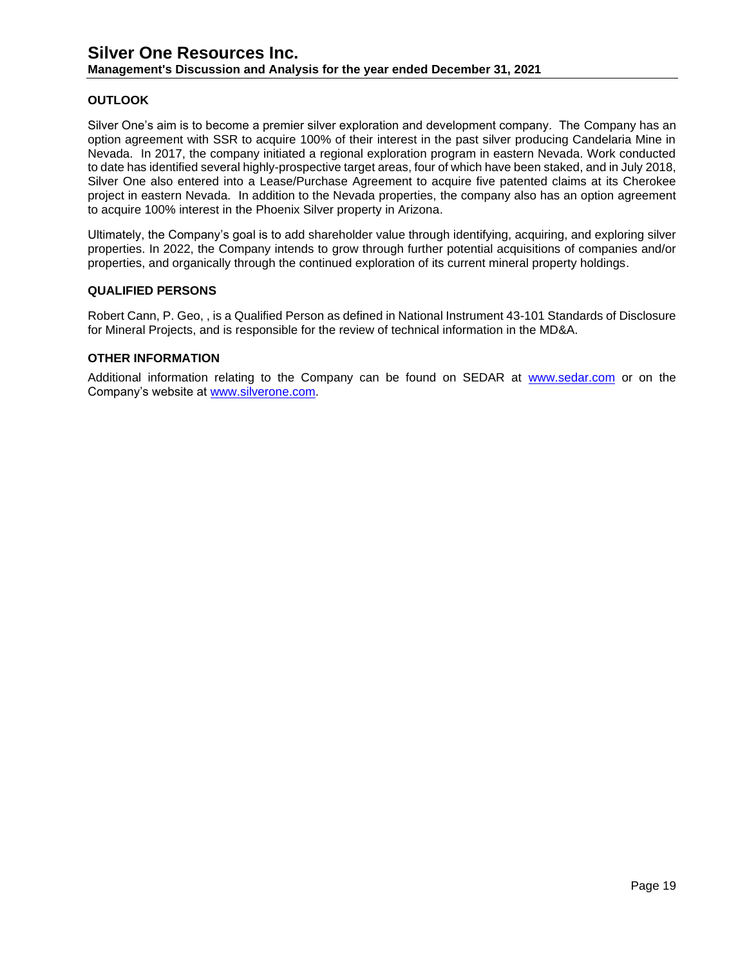### **OUTLOOK**

Silver One's aim is to become a premier silver exploration and development company. The Company has an option agreement with SSR to acquire 100% of their interest in the past silver producing Candelaria Mine in Nevada. In 2017, the company initiated a regional exploration program in eastern Nevada. Work conducted to date has identified several highly-prospective target areas, four of which have been staked, and in July 2018, Silver One also entered into a Lease/Purchase Agreement to acquire five patented claims at its Cherokee project in eastern Nevada. In addition to the Nevada properties, the company also has an option agreement to acquire 100% interest in the Phoenix Silver property in Arizona.

Ultimately, the Company's goal is to add shareholder value through identifying, acquiring, and exploring silver properties. In 2022, the Company intends to grow through further potential acquisitions of companies and/or properties, and organically through the continued exploration of its current mineral property holdings.

#### **QUALIFIED PERSONS**

Robert Cann, P. Geo, , is a Qualified Person as defined in National Instrument 43-101 Standards of Disclosure for Mineral Projects, and is responsible for the review of technical information in the MD&A.

#### **OTHER INFORMATION**

Additional information relating to the Company can be found on SEDAR at [www.sedar.com](http://www.sedar.com/) or on the Company's website at [www.silverone.com.](http://www.silverone.com/)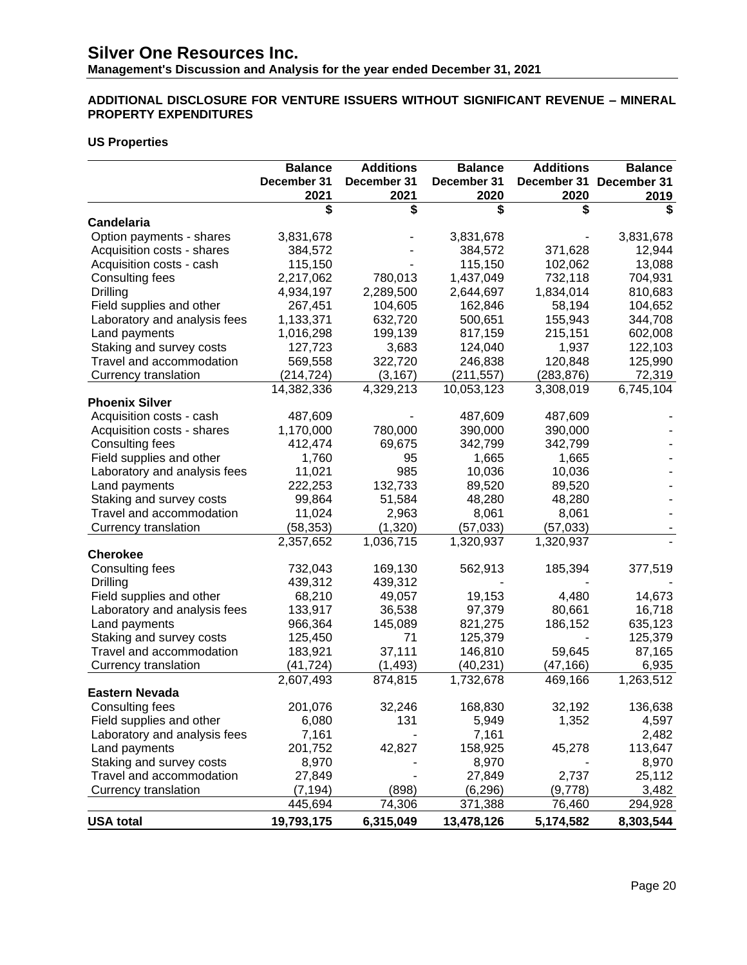**Management's Discussion and Analysis for the year ended December 31, 2021**

## **ADDITIONAL DISCLOSURE FOR VENTURE ISSUERS WITHOUT SIGNIFICANT REVENUE – MINERAL PROPERTY EXPENDITURES**

### **US Properties**

|                              | <b>Balance</b> | <b>Additions</b> | <b>Balance</b> | <b>Additions</b> | <b>Balance</b> |
|------------------------------|----------------|------------------|----------------|------------------|----------------|
|                              | December 31    | December 31      | December 31    | December 31      | December 31    |
|                              | 2021           | 2021             | 2020           | 2020             | 2019           |
|                              | \$             | \$               | \$             | \$               |                |
| <b>Candelaria</b>            |                |                  |                |                  |                |
| Option payments - shares     | 3,831,678      |                  | 3,831,678      |                  | 3,831,678      |
| Acquisition costs - shares   | 384,572        |                  | 384,572        | 371,628          | 12,944         |
| Acquisition costs - cash     | 115,150        |                  | 115,150        | 102,062          | 13,088         |
| Consulting fees              | 2,217,062      | 780,013          | 1,437,049      | 732,118          | 704,931        |
| Drilling                     | 4,934,197      | 2,289,500        | 2,644,697      | 1,834,014        | 810,683        |
| Field supplies and other     | 267,451        | 104,605          | 162,846        | 58,194           | 104,652        |
| Laboratory and analysis fees | 1,133,371      | 632,720          | 500,651        | 155,943          | 344,708        |
| Land payments                | 1,016,298      | 199,139          | 817,159        | 215,151          | 602,008        |
| Staking and survey costs     | 127,723        | 3,683            | 124,040        | 1,937            | 122,103        |
| Travel and accommodation     | 569,558        | 322,720          | 246,838        | 120,848          | 125,990        |
| Currency translation         | (214, 724)     | (3, 167)         | (211, 557)     | (283, 876)       | 72,319         |
|                              | 14,382,336     | 4,329,213        | 10,053,123     | 3,308,019        | 6,745,104      |
| <b>Phoenix Silver</b>        |                |                  |                |                  |                |
| Acquisition costs - cash     | 487,609        |                  | 487,609        | 487,609          |                |
| Acquisition costs - shares   | 1,170,000      | 780,000          | 390,000        | 390,000          |                |
| Consulting fees              | 412,474        | 69,675           | 342,799        | 342,799          |                |
| Field supplies and other     | 1,760          | 95               | 1,665          | 1,665            |                |
| Laboratory and analysis fees | 11,021         | 985              | 10,036         | 10,036           |                |
| Land payments                | 222,253        | 132,733          | 89,520         | 89,520           |                |
| Staking and survey costs     | 99,864         | 51,584           | 48,280         | 48,280           |                |
| Travel and accommodation     | 11,024         | 2,963            | 8,061          | 8,061            |                |
| Currency translation         | (58, 353)      | (1,320)          | (57, 033)      | (57, 033)        |                |
|                              | 2,357,652      | 1,036,715        | 1,320,937      | 1,320,937        |                |
| <b>Cherokee</b>              |                |                  |                |                  |                |
| Consulting fees              | 732,043        | 169,130          | 562,913        | 185,394          | 377,519        |
| Drilling                     | 439,312        | 439,312          |                |                  |                |
| Field supplies and other     | 68,210         | 49,057           | 19,153         | 4,480            | 14,673         |
| Laboratory and analysis fees | 133,917        | 36,538           | 97,379         | 80,661           | 16,718         |
| Land payments                | 966,364        | 145,089          | 821,275        | 186,152          | 635,123        |
| Staking and survey costs     | 125,450        | 71               | 125,379        |                  | 125,379        |
| Travel and accommodation     | 183,921        | 37,111           | 146,810        | 59,645           | 87,165         |
| Currency translation         | (41,724)       | (1, 493)         | (40,231)       | (47, 166)        | 6,935          |
|                              | 2,607,493      | 874,815          | 1,732,678      | 469,166          | 1,263,512      |
| <b>Eastern Nevada</b>        |                |                  |                |                  |                |
| Consulting fees              | 201,076        | 32,246           | 168,830        | 32,192           | 136,638        |
| Field supplies and other     | 6,080          | 131              | 5,949          | 1,352            | 4,597          |
| Laboratory and analysis fees | 7,161          |                  | 7,161          |                  | 2,482          |
| Land payments                | 201,752        | 42,827           | 158,925        | 45,278           | 113,647        |
| Staking and survey costs     | 8,970          |                  | 8,970          |                  | 8,970          |
| Travel and accommodation     | 27,849         |                  | 27,849         | 2,737            | 25,112         |
| Currency translation         | (7, 194)       | (898)            | (6, 296)       | (9,778)          | 3,482          |
|                              | 445,694        | 74,306           | 371,388        | 76,460           | <u>294,928</u> |
| <b>USA total</b>             | 19,793,175     | 6,315,049        | 13,478,126     | 5,174,582        | 8,303,544      |